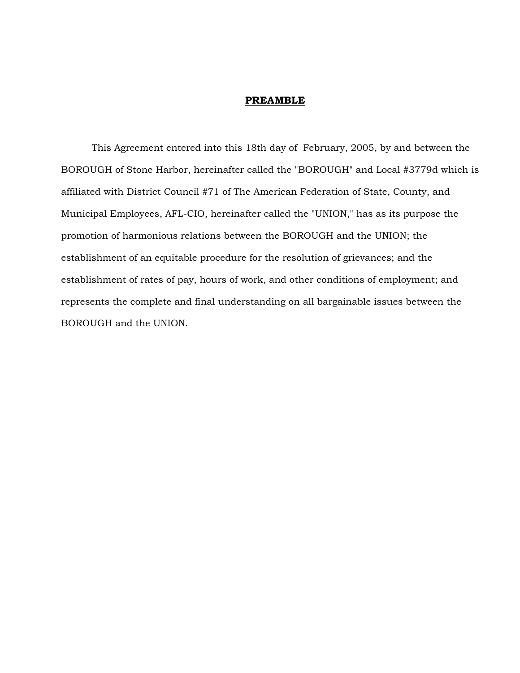#### **PREAMBLE**

 This Agreement entered into this 18th day of February, 2005, by and between the BOROUGH of Stone Harbor, hereinafter called the "BOROUGH" and Local #3779d which is affiliated with District Council #71 of The American Federation of State, County, and Municipal Employees, AFL-CIO, hereinafter called the "UNION," has as its purpose the promotion of harmonious relations between the BOROUGH and the UNION; the establishment of an equitable procedure for the resolution of grievances; and the establishment of rates of pay, hours of work, and other conditions of employment; and represents the complete and final understanding on all bargainable issues between the BOROUGH and the UNION.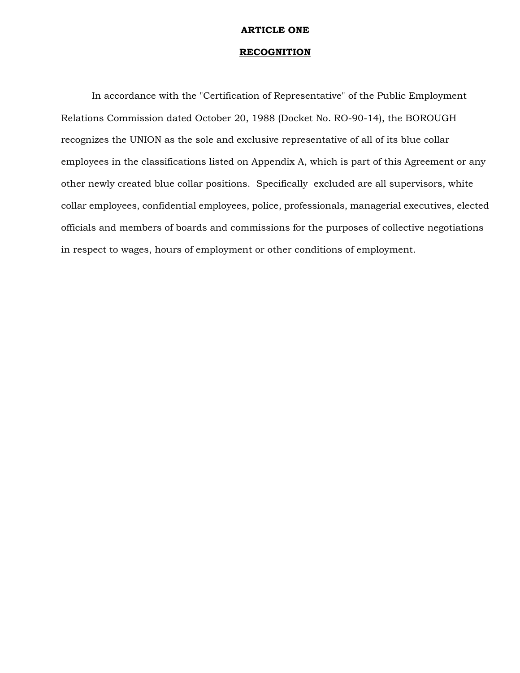# **ARTICLE ONE**

# **RECOGNITION**

 In accordance with the "Certification of Representative" of the Public Employment Relations Commission dated October 20, 1988 (Docket No. RO-90-14), the BOROUGH recognizes the UNION as the sole and exclusive representative of all of its blue collar employees in the classifications listed on Appendix A, which is part of this Agreement or any other newly created blue collar positions. Specifically excluded are all supervisors, white collar employees, confidential employees, police, professionals, managerial executives, elected officials and members of boards and commissions for the purposes of collective negotiations in respect to wages, hours of employment or other conditions of employment.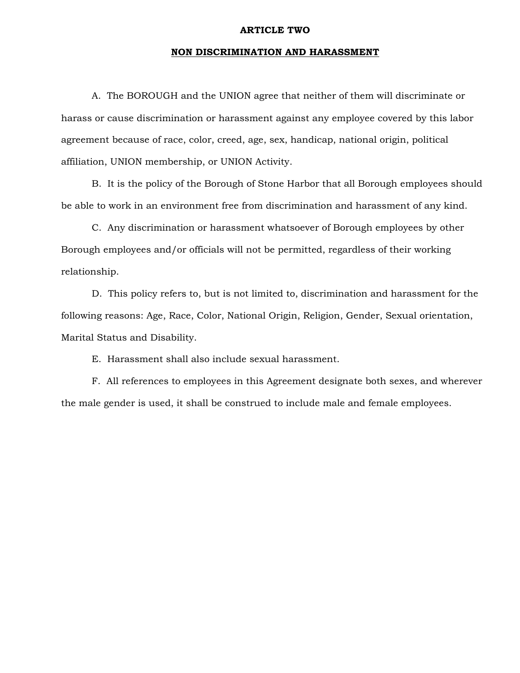#### **ARTICLE TWO**

# **NON DISCRIMINATION AND HARASSMENT**

 A. The BOROUGH and the UNION agree that neither of them will discriminate or harass or cause discrimination or harassment against any employee covered by this labor agreement because of race, color, creed, age, sex, handicap, national origin, political affiliation, UNION membership, or UNION Activity.

 B. It is the policy of the Borough of Stone Harbor that all Borough employees should be able to work in an environment free from discrimination and harassment of any kind.

 C. Any discrimination or harassment whatsoever of Borough employees by other Borough employees and/or officials will not be permitted, regardless of their working relationship.

 D. This policy refers to, but is not limited to, discrimination and harassment for the following reasons: Age, Race, Color, National Origin, Religion, Gender, Sexual orientation, Marital Status and Disability.

E. Harassment shall also include sexual harassment.

 F. All references to employees in this Agreement designate both sexes, and wherever the male gender is used, it shall be construed to include male and female employees.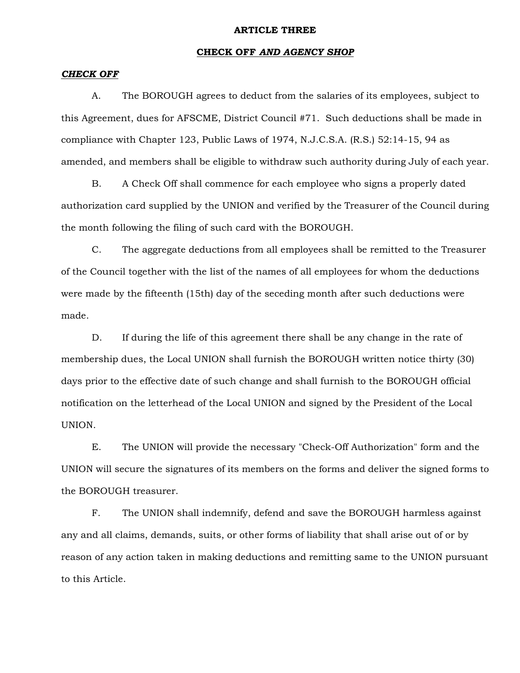#### **ARTICLE THREE**

# **CHECK OFF** *AND AGENCY SHOP*

# *CHECK OFF*

 A. The BOROUGH agrees to deduct from the salaries of its employees, subject to this Agreement, dues for AFSCME, District Council #71. Such deductions shall be made in compliance with Chapter 123, Public Laws of 1974, N.J.C.S.A. (R.S.) 52:14-15, 94 as amended, and members shall be eligible to withdraw such authority during July of each year.

 B. A Check Off shall commence for each employee who signs a properly dated authorization card supplied by the UNION and verified by the Treasurer of the Council during the month following the filing of such card with the BOROUGH.

 C. The aggregate deductions from all employees shall be remitted to the Treasurer of the Council together with the list of the names of all employees for whom the deductions were made by the fifteenth (15th) day of the seceding month after such deductions were made.

 D. If during the life of this agreement there shall be any change in the rate of membership dues, the Local UNION shall furnish the BOROUGH written notice thirty (30) days prior to the effective date of such change and shall furnish to the BOROUGH official notification on the letterhead of the Local UNION and signed by the President of the Local UNION.

 E. The UNION will provide the necessary "Check-Off Authorization" form and the UNION will secure the signatures of its members on the forms and deliver the signed forms to the BOROUGH treasurer.

 F. The UNION shall indemnify, defend and save the BOROUGH harmless against any and all claims, demands, suits, or other forms of liability that shall arise out of or by reason of any action taken in making deductions and remitting same to the UNION pursuant to this Article.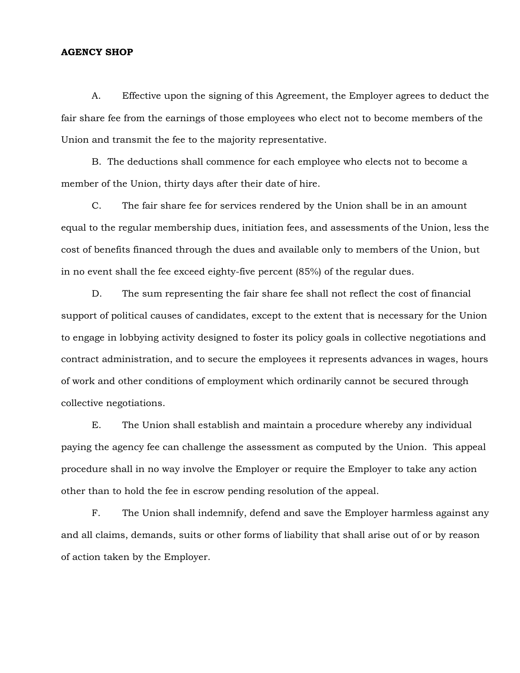# **AGENCY SHOP**

 A. Effective upon the signing of this Agreement, the Employer agrees to deduct the fair share fee from the earnings of those employees who elect not to become members of the Union and transmit the fee to the majority representative.

 B. The deductions shall commence for each employee who elects not to become a member of the Union, thirty days after their date of hire.

 C. The fair share fee for services rendered by the Union shall be in an amount equal to the regular membership dues, initiation fees, and assessments of the Union, less the cost of benefits financed through the dues and available only to members of the Union, but in no event shall the fee exceed eighty-five percent (85%) of the regular dues.

 D. The sum representing the fair share fee shall not reflect the cost of financial support of political causes of candidates, except to the extent that is necessary for the Union to engage in lobbying activity designed to foster its policy goals in collective negotiations and contract administration, and to secure the employees it represents advances in wages, hours of work and other conditions of employment which ordinarily cannot be secured through collective negotiations.

 E. The Union shall establish and maintain a procedure whereby any individual paying the agency fee can challenge the assessment as computed by the Union. This appeal procedure shall in no way involve the Employer or require the Employer to take any action other than to hold the fee in escrow pending resolution of the appeal.

 F. The Union shall indemnify, defend and save the Employer harmless against any and all claims, demands, suits or other forms of liability that shall arise out of or by reason of action taken by the Employer.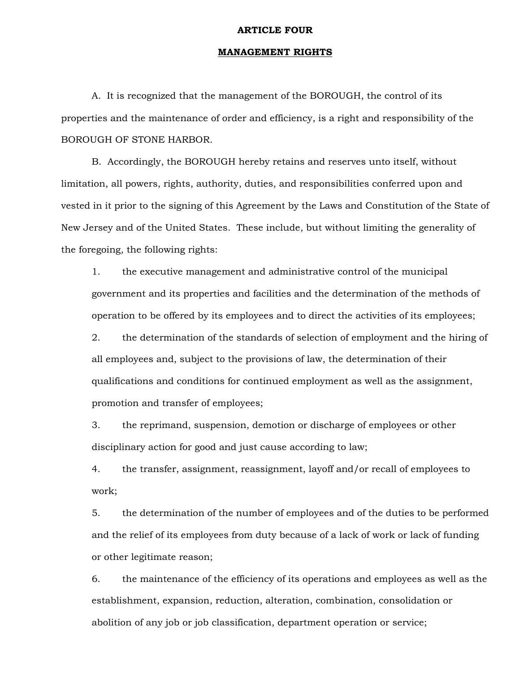#### **ARTICLE FOUR**

# **MANAGEMENT RIGHTS**

 A. It is recognized that the management of the BOROUGH, the control of its properties and the maintenance of order and efficiency, is a right and responsibility of the BOROUGH OF STONE HARBOR.

 B. Accordingly, the BOROUGH hereby retains and reserves unto itself, without limitation, all powers, rights, authority, duties, and responsibilities conferred upon and vested in it prior to the signing of this Agreement by the Laws and Constitution of the State of New Jersey and of the United States. These include, but without limiting the generality of the foregoing, the following rights:

1. the executive management and administrative control of the municipal government and its properties and facilities and the determination of the methods of operation to be offered by its employees and to direct the activities of its employees;

2. the determination of the standards of selection of employment and the hiring of all employees and, subject to the provisions of law, the determination of their qualifications and conditions for continued employment as well as the assignment, promotion and transfer of employees;

3. the reprimand, suspension, demotion or discharge of employees or other disciplinary action for good and just cause according to law;

4. the transfer, assignment, reassignment, layoff and/or recall of employees to work;

5. the determination of the number of employees and of the duties to be performed and the relief of its employees from duty because of a lack of work or lack of funding or other legitimate reason;

6. the maintenance of the efficiency of its operations and employees as well as the establishment, expansion, reduction, alteration, combination, consolidation or abolition of any job or job classification, department operation or service;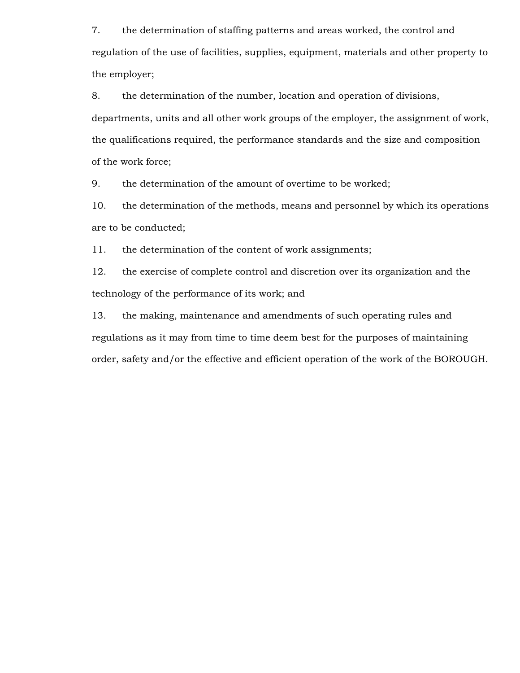7. the determination of staffing patterns and areas worked, the control and regulation of the use of facilities, supplies, equipment, materials and other property to the employer;

8. the determination of the number, location and operation of divisions,

departments, units and all other work groups of the employer, the assignment of work, the qualifications required, the performance standards and the size and composition of the work force;

9. the determination of the amount of overtime to be worked;

10. the determination of the methods, means and personnel by which its operations are to be conducted;

11. the determination of the content of work assignments;

12. the exercise of complete control and discretion over its organization and the technology of the performance of its work; and

13. the making, maintenance and amendments of such operating rules and regulations as it may from time to time deem best for the purposes of maintaining order, safety and/or the effective and efficient operation of the work of the BOROUGH.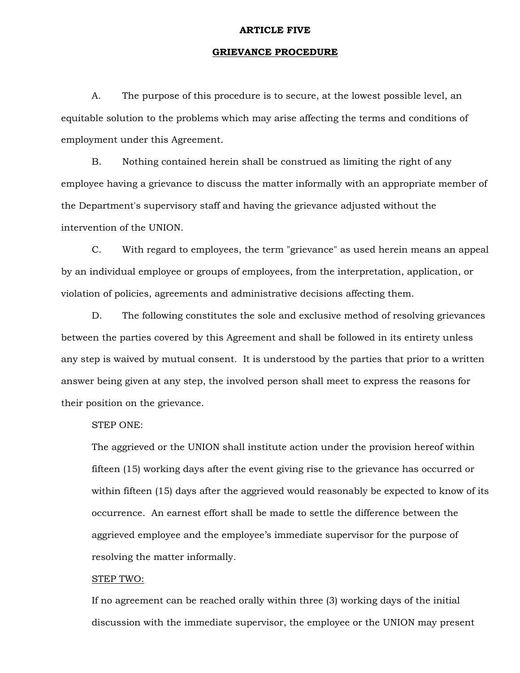#### **ARTICLE FIVE**

# **GRIEVANCE PROCEDURE**

 A. The purpose of this procedure is to secure, at the lowest possible level, an equitable solution to the problems which may arise affecting the terms and conditions of employment under this Agreement.

 B. Nothing contained herein shall be construed as limiting the right of any employee having a grievance to discuss the matter informally with an appropriate member of the Department's supervisory staff and having the grievance adjusted without the intervention of the UNION.

 C. With regard to employees, the term "grievance" as used herein means an appeal by an individual employee or groups of employees, from the interpretation, application, or violation of policies, agreements and administrative decisions affecting them.

 D. The following constitutes the sole and exclusive method of resolving grievances between the parties covered by this Agreement and shall be followed in its entirety unless any step is waived by mutual consent. It is understood by the parties that prior to a written answer being given at any step, the involved person shall meet to express the reasons for their position on the grievance.

# STEP ONE:

The aggrieved or the UNION shall institute action under the provision hereof within fifteen (15) working days after the event giving rise to the grievance has occurred or within fifteen (15) days after the aggrieved would reasonably be expected to know of its occurrence. An earnest effort shall be made to settle the difference between the aggrieved employee and the employee's immediate supervisor for the purpose of resolving the matter informally.

# STEP TWO:

If no agreement can be reached orally within three (3) working days of the initial discussion with the immediate supervisor, the employee or the UNION may present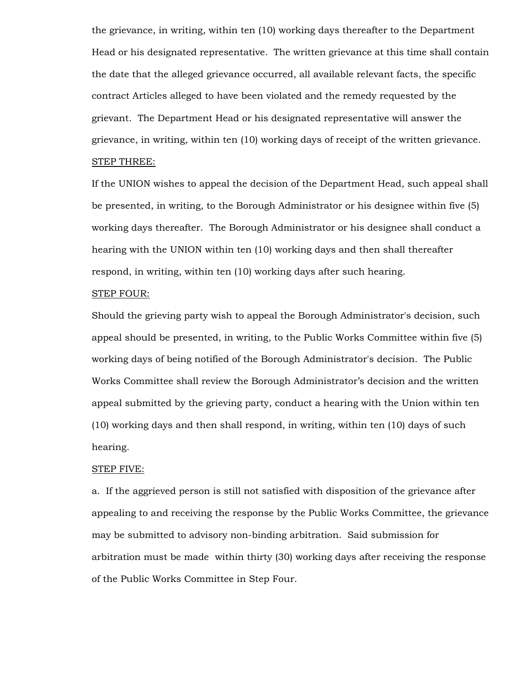the grievance, in writing, within ten (10) working days thereafter to the Department Head or his designated representative. The written grievance at this time shall contain the date that the alleged grievance occurred, all available relevant facts, the specific contract Articles alleged to have been violated and the remedy requested by the grievant. The Department Head or his designated representative will answer the grievance, in writing, within ten (10) working days of receipt of the written grievance. STEP THREE:

If the UNION wishes to appeal the decision of the Department Head, such appeal shall be presented, in writing, to the Borough Administrator or his designee within five (5) working days thereafter. The Borough Administrator or his designee shall conduct a hearing with the UNION within ten (10) working days and then shall thereafter respond, in writing, within ten (10) working days after such hearing.

# STEP FOUR:

Should the grieving party wish to appeal the Borough Administrator's decision, such appeal should be presented, in writing, to the Public Works Committee within five (5) working days of being notified of the Borough Administrator's decision. The Public Works Committee shall review the Borough Administrator's decision and the written appeal submitted by the grieving party, conduct a hearing with the Union within ten (10) working days and then shall respond, in writing, within ten (10) days of such hearing.

#### STEP FIVE:

a. If the aggrieved person is still not satisfied with disposition of the grievance after appealing to and receiving the response by the Public Works Committee, the grievance may be submitted to advisory non-binding arbitration. Said submission for arbitration must be made within thirty (30) working days after receiving the response of the Public Works Committee in Step Four.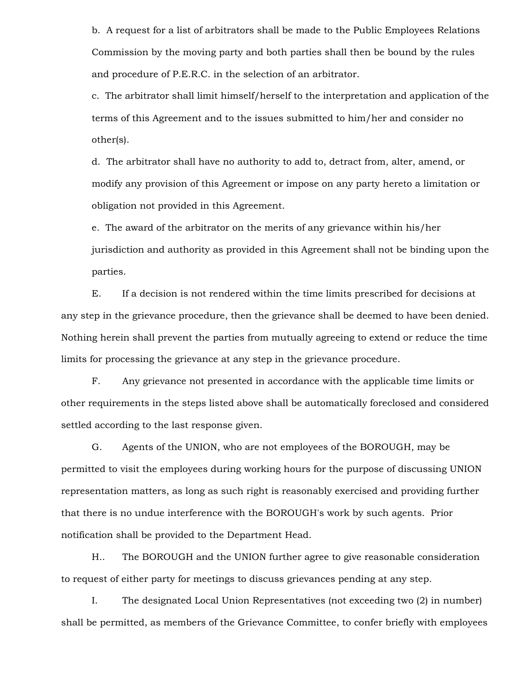b. A request for a list of arbitrators shall be made to the Public Employees Relations Commission by the moving party and both parties shall then be bound by the rules and procedure of P.E.R.C. in the selection of an arbitrator.

c. The arbitrator shall limit himself/herself to the interpretation and application of the terms of this Agreement and to the issues submitted to him/her and consider no other(s).

d. The arbitrator shall have no authority to add to, detract from, alter, amend, or modify any provision of this Agreement or impose on any party hereto a limitation or obligation not provided in this Agreement.

e. The award of the arbitrator on the merits of any grievance within his/her jurisdiction and authority as provided in this Agreement shall not be binding upon the parties.

 E. If a decision is not rendered within the time limits prescribed for decisions at any step in the grievance procedure, then the grievance shall be deemed to have been denied. Nothing herein shall prevent the parties from mutually agreeing to extend or reduce the time limits for processing the grievance at any step in the grievance procedure.

 F. Any grievance not presented in accordance with the applicable time limits or other requirements in the steps listed above shall be automatically foreclosed and considered settled according to the last response given.

 G. Agents of the UNION, who are not employees of the BOROUGH, may be permitted to visit the employees during working hours for the purpose of discussing UNION representation matters, as long as such right is reasonably exercised and providing further that there is no undue interference with the BOROUGH's work by such agents. Prior notification shall be provided to the Department Head.

 H.. The BOROUGH and the UNION further agree to give reasonable consideration to request of either party for meetings to discuss grievances pending at any step.

 I. The designated Local Union Representatives (not exceeding two (2) in number) shall be permitted, as members of the Grievance Committee, to confer briefly with employees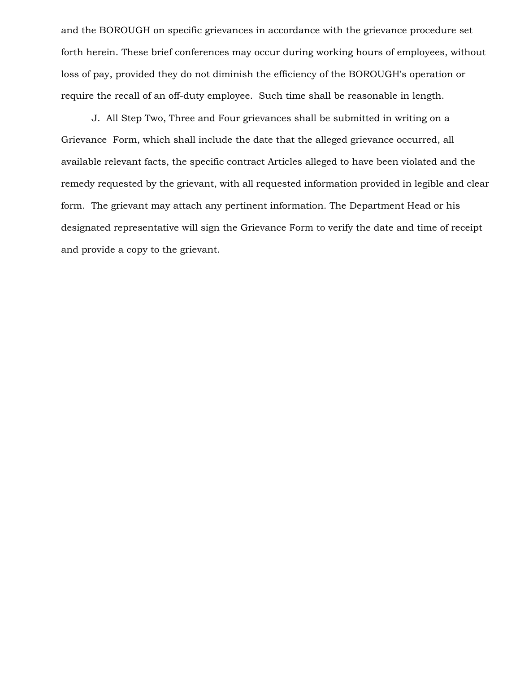and the BOROUGH on specific grievances in accordance with the grievance procedure set forth herein. These brief conferences may occur during working hours of employees, without loss of pay, provided they do not diminish the efficiency of the BOROUGH's operation or require the recall of an off-duty employee. Such time shall be reasonable in length.

 J. All Step Two, Three and Four grievances shall be submitted in writing on a Grievance Form, which shall include the date that the alleged grievance occurred, all available relevant facts, the specific contract Articles alleged to have been violated and the remedy requested by the grievant, with all requested information provided in legible and clear form. The grievant may attach any pertinent information. The Department Head or his designated representative will sign the Grievance Form to verify the date and time of receipt and provide a copy to the grievant.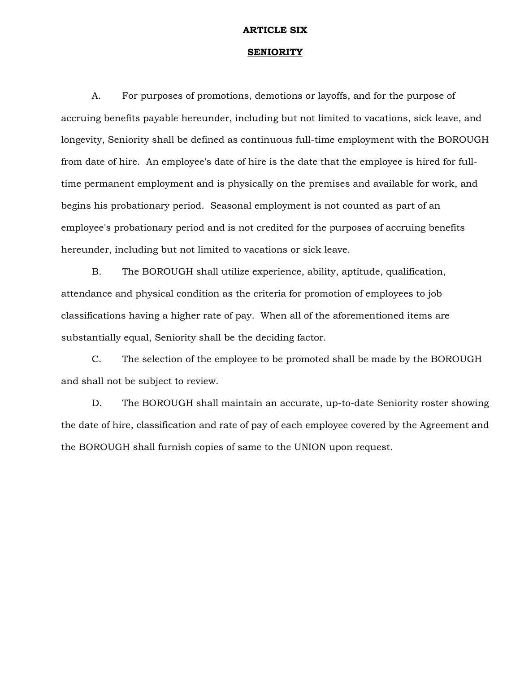#### **ARTICLE SIX**

#### **SENIORITY**

 A. For purposes of promotions, demotions or layoffs, and for the purpose of accruing benefits payable hereunder, including but not limited to vacations, sick leave, and longevity, Seniority shall be defined as continuous full-time employment with the BOROUGH from date of hire. An employee's date of hire is the date that the employee is hired for fulltime permanent employment and is physically on the premises and available for work, and begins his probationary period. Seasonal employment is not counted as part of an employee's probationary period and is not credited for the purposes of accruing benefits hereunder, including but not limited to vacations or sick leave.

 B. The BOROUGH shall utilize experience, ability, aptitude, qualification, attendance and physical condition as the criteria for promotion of employees to job classifications having a higher rate of pay. When all of the aforementioned items are substantially equal, Seniority shall be the deciding factor.

 C. The selection of the employee to be promoted shall be made by the BOROUGH and shall not be subject to review.

 D. The BOROUGH shall maintain an accurate, up-to-date Seniority roster showing the date of hire, classification and rate of pay of each employee covered by the Agreement and the BOROUGH shall furnish copies of same to the UNION upon request.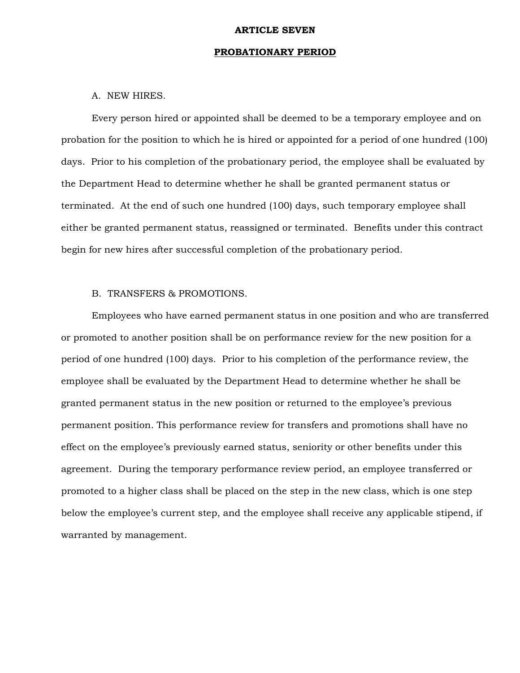#### **ARTICLE SEVEN**

# **PROBATIONARY PERIOD**

# A. NEW HIRES.

 Every person hired or appointed shall be deemed to be a temporary employee and on probation for the position to which he is hired or appointed for a period of one hundred (100) days. Prior to his completion of the probationary period, the employee shall be evaluated by the Department Head to determine whether he shall be granted permanent status or terminated. At the end of such one hundred (100) days, such temporary employee shall either be granted permanent status, reassigned or terminated. Benefits under this contract begin for new hires after successful completion of the probationary period.

# B. TRANSFERS & PROMOTIONS.

 Employees who have earned permanent status in one position and who are transferred or promoted to another position shall be on performance review for the new position for a period of one hundred (100) days. Prior to his completion of the performance review, the employee shall be evaluated by the Department Head to determine whether he shall be granted permanent status in the new position or returned to the employee's previous permanent position. This performance review for transfers and promotions shall have no effect on the employee's previously earned status, seniority or other benefits under this agreement. During the temporary performance review period, an employee transferred or promoted to a higher class shall be placed on the step in the new class, which is one step below the employee's current step, and the employee shall receive any applicable stipend, if warranted by management.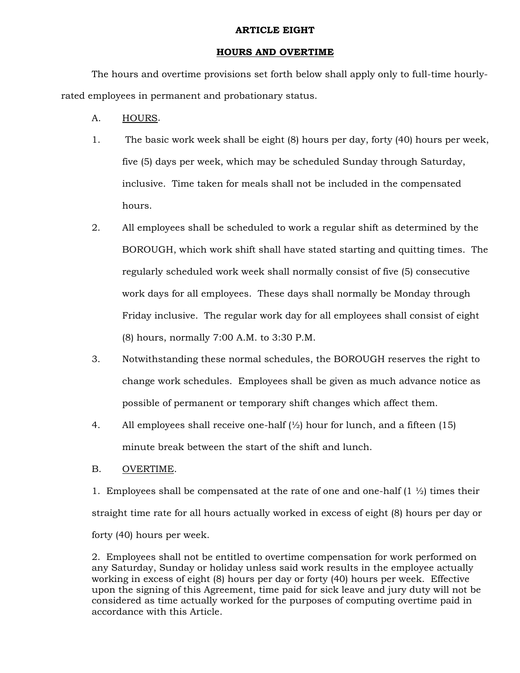# **ARTICLE EIGHT**

# **HOURS AND OVERTIME**

 The hours and overtime provisions set forth below shall apply only to full-time hourlyrated employees in permanent and probationary status.

- A. HOURS.
- 1. The basic work week shall be eight (8) hours per day, forty (40) hours per week, five (5) days per week, which may be scheduled Sunday through Saturday, inclusive. Time taken for meals shall not be included in the compensated hours.
- 2. All employees shall be scheduled to work a regular shift as determined by the BOROUGH, which work shift shall have stated starting and quitting times. The regularly scheduled work week shall normally consist of five (5) consecutive work days for all employees. These days shall normally be Monday through Friday inclusive. The regular work day for all employees shall consist of eight (8) hours, normally 7:00 A.M. to 3:30 P.M.
- 3. Notwithstanding these normal schedules, the BOROUGH reserves the right to change work schedules. Employees shall be given as much advance notice as possible of permanent or temporary shift changes which affect them.
- 4. All employees shall receive one-half  $\frac{1}{2}$  hour for lunch, and a fifteen (15) minute break between the start of the shift and lunch.
- B. OVERTIME.

1. Employees shall be compensated at the rate of one and one-half  $(1 \frac{1}{2})$  times their straight time rate for all hours actually worked in excess of eight (8) hours per day or forty (40) hours per week.

2. Employees shall not be entitled to overtime compensation for work performed on any Saturday, Sunday or holiday unless said work results in the employee actually working in excess of eight (8) hours per day or forty (40) hours per week. Effective upon the signing of this Agreement, time paid for sick leave and jury duty will not be considered as time actually worked for the purposes of computing overtime paid in accordance with this Article.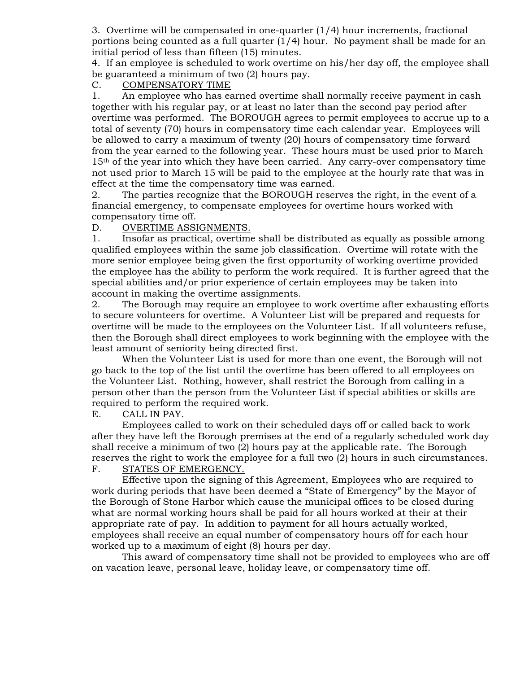3. Overtime will be compensated in one-quarter (1/4) hour increments, fractional portions being counted as a full quarter (1/4) hour. No payment shall be made for an initial period of less than fifteen (15) minutes.

4. If an employee is scheduled to work overtime on his/her day off, the employee shall be guaranteed a minimum of two (2) hours pay.

# C. COMPENSATORY TIME

1. An employee who has earned overtime shall normally receive payment in cash together with his regular pay, or at least no later than the second pay period after overtime was performed. The BOROUGH agrees to permit employees to accrue up to a total of seventy (70) hours in compensatory time each calendar year. Employees will be allowed to carry a maximum of twenty (20) hours of compensatory time forward from the year earned to the following year. These hours must be used prior to March 15th of the year into which they have been carried. Any carry-over compensatory time not used prior to March 15 will be paid to the employee at the hourly rate that was in effect at the time the compensatory time was earned.

2. The parties recognize that the BOROUGH reserves the right, in the event of a financial emergency, to compensate employees for overtime hours worked with compensatory time off.

# D. OVERTIME ASSIGNMENTS.

1. Insofar as practical, overtime shall be distributed as equally as possible among qualified employees within the same job classification. Overtime will rotate with the more senior employee being given the first opportunity of working overtime provided the employee has the ability to perform the work required. It is further agreed that the special abilities and/or prior experience of certain employees may be taken into account in making the overtime assignments.

2. The Borough may require an employee to work overtime after exhausting efforts to secure volunteers for overtime. A Volunteer List will be prepared and requests for overtime will be made to the employees on the Volunteer List. If all volunteers refuse, then the Borough shall direct employees to work beginning with the employee with the least amount of seniority being directed first.

 When the Volunteer List is used for more than one event, the Borough will not go back to the top of the list until the overtime has been offered to all employees on the Volunteer List. Nothing, however, shall restrict the Borough from calling in a person other than the person from the Volunteer List if special abilities or skills are required to perform the required work.

E. CALL IN PAY.

 Employees called to work on their scheduled days off or called back to work after they have left the Borough premises at the end of a regularly scheduled work day shall receive a minimum of two (2) hours pay at the applicable rate. The Borough reserves the right to work the employee for a full two (2) hours in such circumstances. F. STATES OF EMERGENCY.

 Effective upon the signing of this Agreement, Employees who are required to work during periods that have been deemed a "State of Emergency" by the Mayor of the Borough of Stone Harbor which cause the municipal offices to be closed during what are normal working hours shall be paid for all hours worked at their at their appropriate rate of pay. In addition to payment for all hours actually worked, employees shall receive an equal number of compensatory hours off for each hour worked up to a maximum of eight (8) hours per day.

 This award of compensatory time shall not be provided to employees who are off on vacation leave, personal leave, holiday leave, or compensatory time off.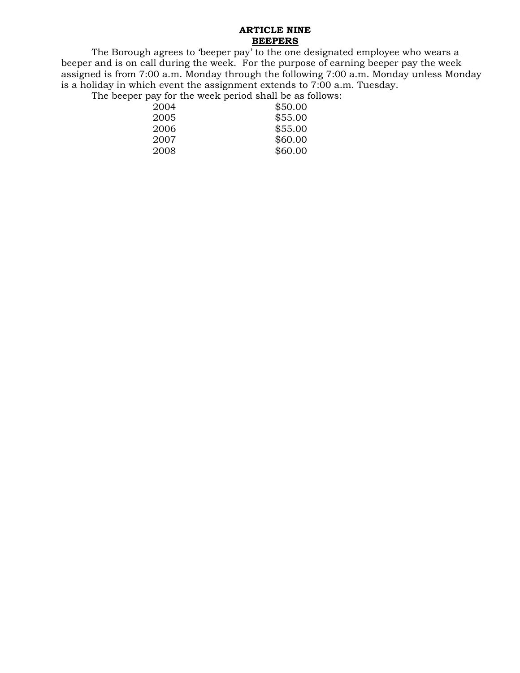# **ARTICLE NINE BEEPERS**

 The Borough agrees to 'beeper pay' to the one designated employee who wears a beeper and is on call during the week. For the purpose of earning beeper pay the week assigned is from 7:00 a.m. Monday through the following 7:00 a.m. Monday unless Monday is a holiday in which event the assignment extends to 7:00 a.m. Tuesday.

The beeper pay for the week period shall be as follows:

| 2004 | \$50.00 |
|------|---------|
| 2005 | \$55.00 |
| 2006 | \$55.00 |
| 2007 | \$60.00 |
| 2008 | \$60.00 |
|      |         |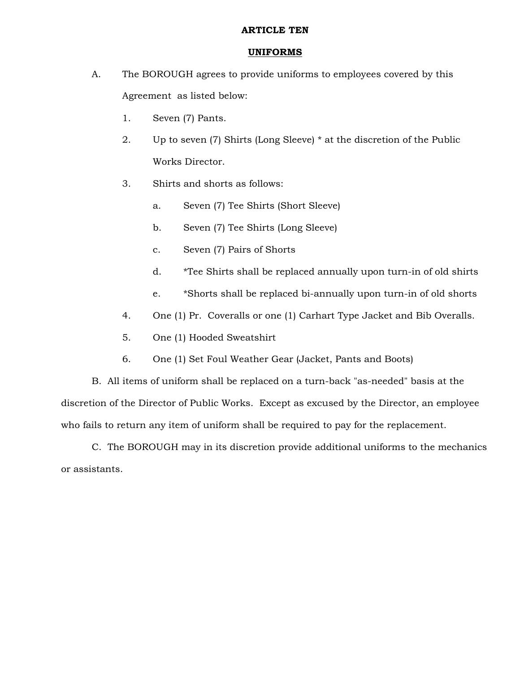# **ARTICLE TEN**

# **UNIFORMS**

- A. The BOROUGH agrees to provide uniforms to employees covered by this Agreement as listed below:
	- 1. Seven (7) Pants.
	- 2. Up to seven (7) Shirts (Long Sleeve) \* at the discretion of the Public Works Director.
	- 3. Shirts and shorts as follows:
		- a. Seven (7) Tee Shirts (Short Sleeve)
		- b. Seven (7) Tee Shirts (Long Sleeve)
		- c. Seven (7) Pairs of Shorts
		- d. \*Tee Shirts shall be replaced annually upon turn-in of old shirts
		- e. \*Shorts shall be replaced bi-annually upon turn-in of old shorts
	- 4. One (1) Pr. Coveralls or one (1) Carhart Type Jacket and Bib Overalls.
	- 5. One (1) Hooded Sweatshirt
	- 6. One (1) Set Foul Weather Gear (Jacket, Pants and Boots)

 B. All items of uniform shall be replaced on a turn-back "as-needed" basis at the discretion of the Director of Public Works. Except as excused by the Director, an employee who fails to return any item of uniform shall be required to pay for the replacement.

 C. The BOROUGH may in its discretion provide additional uniforms to the mechanics or assistants.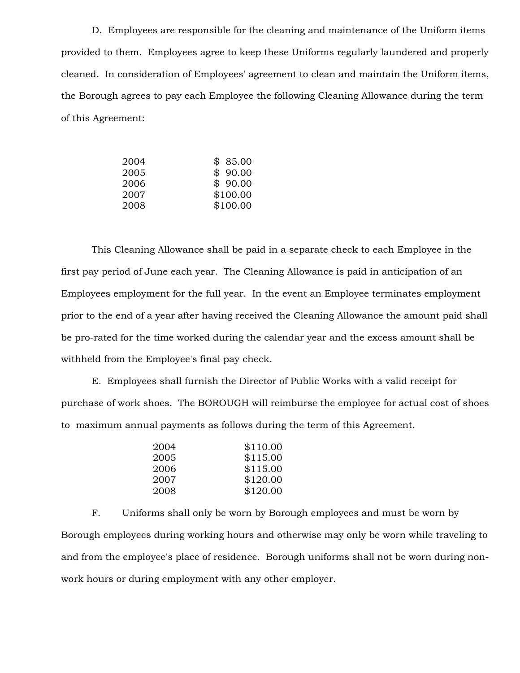D. Employees are responsible for the cleaning and maintenance of the Uniform items provided to them. Employees agree to keep these Uniforms regularly laundered and properly cleaned. In consideration of Employees' agreement to clean and maintain the Uniform items, the Borough agrees to pay each Employee the following Cleaning Allowance during the term of this Agreement:

| \$85.00  |
|----------|
| \$90.00  |
| \$90.00  |
| \$100.00 |
| \$100.00 |
|          |

 This Cleaning Allowance shall be paid in a separate check to each Employee in the first pay period of June each year. The Cleaning Allowance is paid in anticipation of an Employees employment for the full year. In the event an Employee terminates employment prior to the end of a year after having received the Cleaning Allowance the amount paid shall be pro-rated for the time worked during the calendar year and the excess amount shall be withheld from the Employee's final pay check.

 E. Employees shall furnish the Director of Public Works with a valid receipt for purchase of work shoes. The BOROUGH will reimburse the employee for actual cost of shoes to maximum annual payments as follows during the term of this Agreement.

 F. Uniforms shall only be worn by Borough employees and must be worn by Borough employees during working hours and otherwise may only be worn while traveling to and from the employee's place of residence. Borough uniforms shall not be worn during nonwork hours or during employment with any other employer.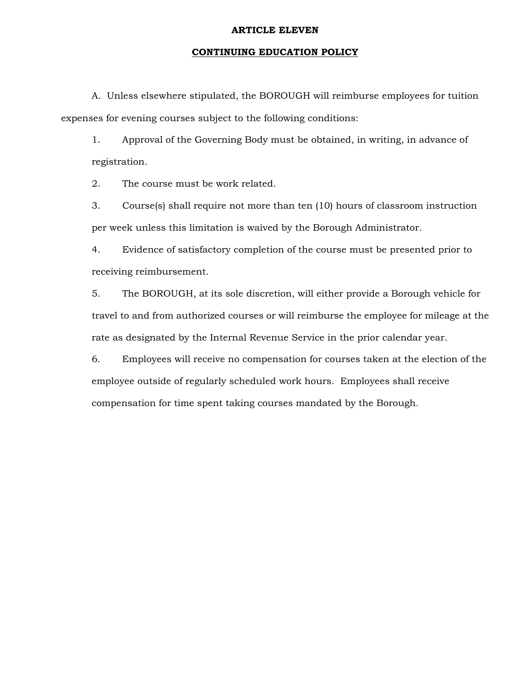# **ARTICLE ELEVEN**

# **CONTINUING EDUCATION POLICY**

 A. Unless elsewhere stipulated, the BOROUGH will reimburse employees for tuition expenses for evening courses subject to the following conditions:

1. Approval of the Governing Body must be obtained, in writing, in advance of registration.

2. The course must be work related.

3. Course(s) shall require not more than ten (10) hours of classroom instruction per week unless this limitation is waived by the Borough Administrator.

4. Evidence of satisfactory completion of the course must be presented prior to receiving reimbursement.

5. The BOROUGH, at its sole discretion, will either provide a Borough vehicle for travel to and from authorized courses or will reimburse the employee for mileage at the rate as designated by the Internal Revenue Service in the prior calendar year.

6. Employees will receive no compensation for courses taken at the election of the employee outside of regularly scheduled work hours. Employees shall receive compensation for time spent taking courses mandated by the Borough.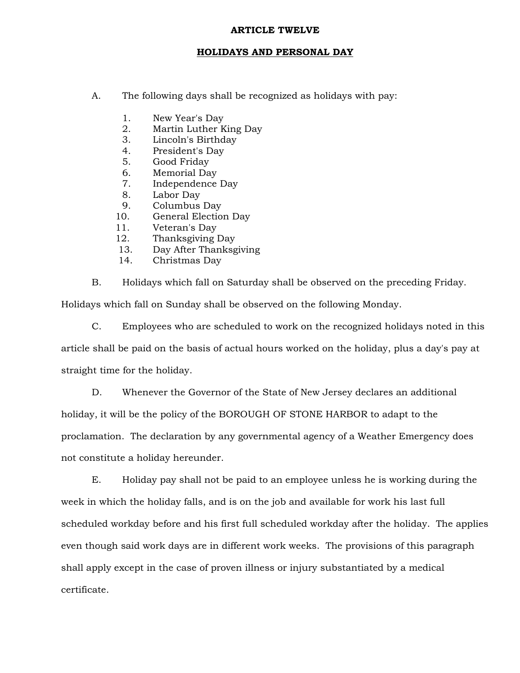# **ARTICLE TWELVE**

# **HOLIDAYS AND PERSONAL DAY**

- A. The following days shall be recognized as holidays with pay:
	- 1. New Year's Day
	- 2. Martin Luther King Day
	- 3. Lincoln's Birthday
	- 4. President's Day
	- 5. Good Friday
	- 6. Memorial Day
	- 7. Independence Day
	- 8. Labor Day
	- 9. Columbus Day
	- 10. General Election Day
	- 11. Veteran's Day
	- 12. Thanksgiving Day
	- 13. Day After Thanksgiving
	- 14. Christmas Day

B. Holidays which fall on Saturday shall be observed on the preceding Friday.

Holidays which fall on Sunday shall be observed on the following Monday.

 C. Employees who are scheduled to work on the recognized holidays noted in this article shall be paid on the basis of actual hours worked on the holiday, plus a day's pay at straight time for the holiday.

 D. Whenever the Governor of the State of New Jersey declares an additional holiday, it will be the policy of the BOROUGH OF STONE HARBOR to adapt to the proclamation. The declaration by any governmental agency of a Weather Emergency does not constitute a holiday hereunder.

 E. Holiday pay shall not be paid to an employee unless he is working during the week in which the holiday falls, and is on the job and available for work his last full scheduled workday before and his first full scheduled workday after the holiday. The applies even though said work days are in different work weeks. The provisions of this paragraph shall apply except in the case of proven illness or injury substantiated by a medical certificate.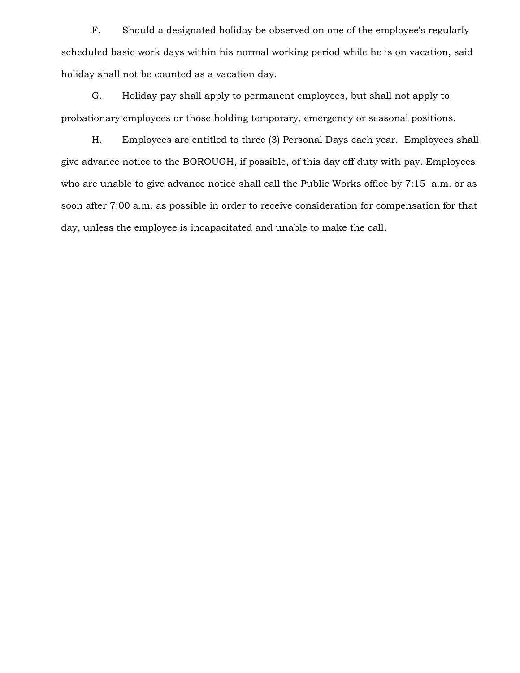F. Should a designated holiday be observed on one of the employee's regularly scheduled basic work days within his normal working period while he is on vacation, said holiday shall not be counted as a vacation day.

 G. Holiday pay shall apply to permanent employees, but shall not apply to probationary employees or those holding temporary, emergency or seasonal positions.

 H. Employees are entitled to three (3) Personal Days each year. Employees shall give advance notice to the BOROUGH, if possible, of this day off duty with pay. Employees who are unable to give advance notice shall call the Public Works office by 7:15 a.m. or as soon after 7:00 a.m. as possible in order to receive consideration for compensation for that day, unless the employee is incapacitated and unable to make the call.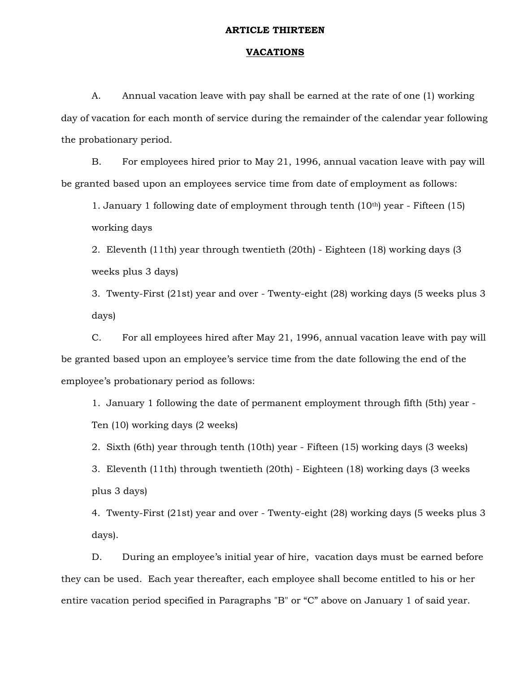# **ARTICLE THIRTEEN**

# **VACATIONS**

 A. Annual vacation leave with pay shall be earned at the rate of one (1) working day of vacation for each month of service during the remainder of the calendar year following the probationary period.

 B. For employees hired prior to May 21, 1996, annual vacation leave with pay will be granted based upon an employees service time from date of employment as follows:

1. January 1 following date of employment through tenth (10th) year - Fifteen (15) working days

2. Eleventh (11th) year through twentieth (20th) - Eighteen (18) working days (3 weeks plus 3 days)

3. Twenty-First (21st) year and over - Twenty-eight (28) working days (5 weeks plus 3 days)

 C. For all employees hired after May 21, 1996, annual vacation leave with pay will be granted based upon an employee's service time from the date following the end of the employee's probationary period as follows:

1. January 1 following the date of permanent employment through fifth (5th) year - Ten (10) working days (2 weeks)

2. Sixth (6th) year through tenth (10th) year - Fifteen (15) working days (3 weeks)

3. Eleventh (11th) through twentieth (20th) - Eighteen (18) working days (3 weeks plus 3 days)

4. Twenty-First (21st) year and over - Twenty-eight (28) working days (5 weeks plus 3 days).

 D. During an employee's initial year of hire, vacation days must be earned before they can be used. Each year thereafter, each employee shall become entitled to his or her entire vacation period specified in Paragraphs "B" or "C" above on January 1 of said year.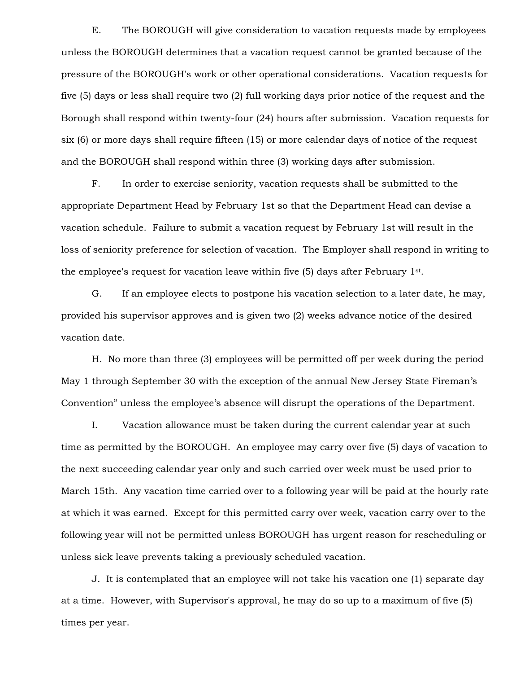E. The BOROUGH will give consideration to vacation requests made by employees unless the BOROUGH determines that a vacation request cannot be granted because of the pressure of the BOROUGH's work or other operational considerations. Vacation requests for five (5) days or less shall require two (2) full working days prior notice of the request and the Borough shall respond within twenty-four (24) hours after submission. Vacation requests for six (6) or more days shall require fifteen (15) or more calendar days of notice of the request and the BOROUGH shall respond within three (3) working days after submission.

 F. In order to exercise seniority, vacation requests shall be submitted to the appropriate Department Head by February 1st so that the Department Head can devise a vacation schedule. Failure to submit a vacation request by February 1st will result in the loss of seniority preference for selection of vacation. The Employer shall respond in writing to the employee's request for vacation leave within five  $(5)$  days after February 1<sup>st</sup>.

 G. If an employee elects to postpone his vacation selection to a later date, he may, provided his supervisor approves and is given two (2) weeks advance notice of the desired vacation date.

 H. No more than three (3) employees will be permitted off per week during the period May 1 through September 30 with the exception of the annual New Jersey State Fireman's Convention" unless the employee's absence will disrupt the operations of the Department.

 I. Vacation allowance must be taken during the current calendar year at such time as permitted by the BOROUGH. An employee may carry over five (5) days of vacation to the next succeeding calendar year only and such carried over week must be used prior to March 15th. Any vacation time carried over to a following year will be paid at the hourly rate at which it was earned. Except for this permitted carry over week, vacation carry over to the following year will not be permitted unless BOROUGH has urgent reason for rescheduling or unless sick leave prevents taking a previously scheduled vacation.

 J. It is contemplated that an employee will not take his vacation one (1) separate day at a time. However, with Supervisor's approval, he may do so up to a maximum of five (5) times per year.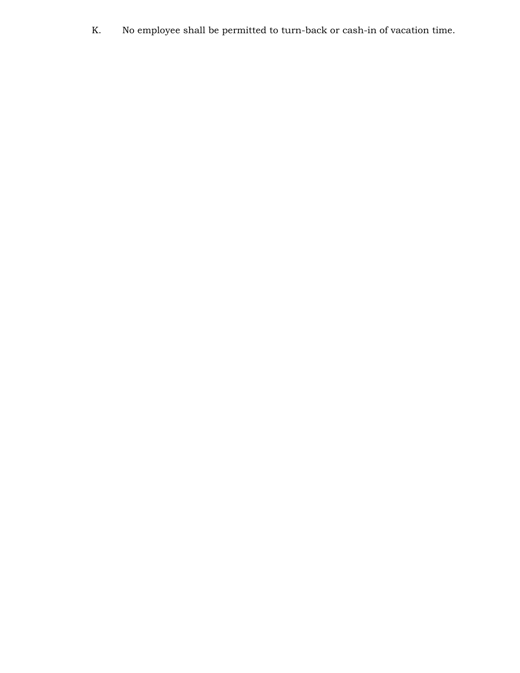K. No employee shall be permitted to turn-back or cash-in of vacation time.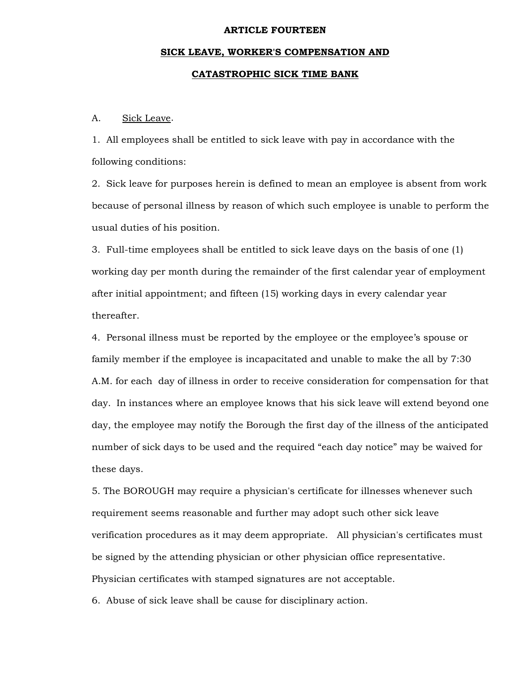#### **ARTICLE FOURTEEN**

# **SICK LEAVE, WORKER'S COMPENSATION AND CATASTROPHIC SICK TIME BANK**

# A. Sick Leave.

1. All employees shall be entitled to sick leave with pay in accordance with the following conditions:

2. Sick leave for purposes herein is defined to mean an employee is absent from work because of personal illness by reason of which such employee is unable to perform the usual duties of his position.

3. Full-time employees shall be entitled to sick leave days on the basis of one (1) working day per month during the remainder of the first calendar year of employment after initial appointment; and fifteen (15) working days in every calendar year thereafter.

4. Personal illness must be reported by the employee or the employee's spouse or family member if the employee is incapacitated and unable to make the all by 7:30 A.M. for each day of illness in order to receive consideration for compensation for that day. In instances where an employee knows that his sick leave will extend beyond one day, the employee may notify the Borough the first day of the illness of the anticipated number of sick days to be used and the required "each day notice" may be waived for these days.

5. The BOROUGH may require a physician's certificate for illnesses whenever such requirement seems reasonable and further may adopt such other sick leave verification procedures as it may deem appropriate. All physician's certificates must be signed by the attending physician or other physician office representative. Physician certificates with stamped signatures are not acceptable.

6. Abuse of sick leave shall be cause for disciplinary action.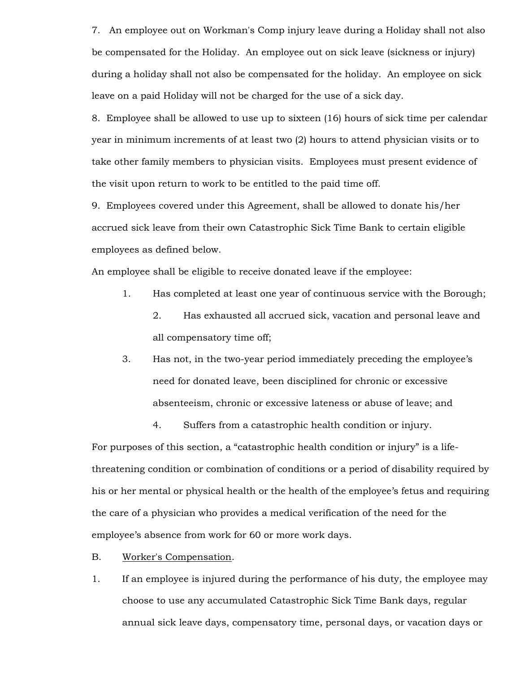7. An employee out on Workman's Comp injury leave during a Holiday shall not also be compensated for the Holiday. An employee out on sick leave (sickness or injury) during a holiday shall not also be compensated for the holiday. An employee on sick leave on a paid Holiday will not be charged for the use of a sick day.

8. Employee shall be allowed to use up to sixteen (16) hours of sick time per calendar year in minimum increments of at least two (2) hours to attend physician visits or to take other family members to physician visits. Employees must present evidence of the visit upon return to work to be entitled to the paid time off.

9. Employees covered under this Agreement, shall be allowed to donate his/her accrued sick leave from their own Catastrophic Sick Time Bank to certain eligible employees as defined below.

An employee shall be eligible to receive donated leave if the employee:

- 1. Has completed at least one year of continuous service with the Borough;
	- 2. Has exhausted all accrued sick, vacation and personal leave and all compensatory time off;
- 3. Has not, in the two-year period immediately preceding the employee's need for donated leave, been disciplined for chronic or excessive absenteeism, chronic or excessive lateness or abuse of leave; and

4. Suffers from a catastrophic health condition or injury.

For purposes of this section, a "catastrophic health condition or injury" is a lifethreatening condition or combination of conditions or a period of disability required by his or her mental or physical health or the health of the employee's fetus and requiring the care of a physician who provides a medical verification of the need for the employee's absence from work for 60 or more work days.

- B. Worker's Compensation.
- 1. If an employee is injured during the performance of his duty, the employee may choose to use any accumulated Catastrophic Sick Time Bank days, regular annual sick leave days, compensatory time, personal days, or vacation days or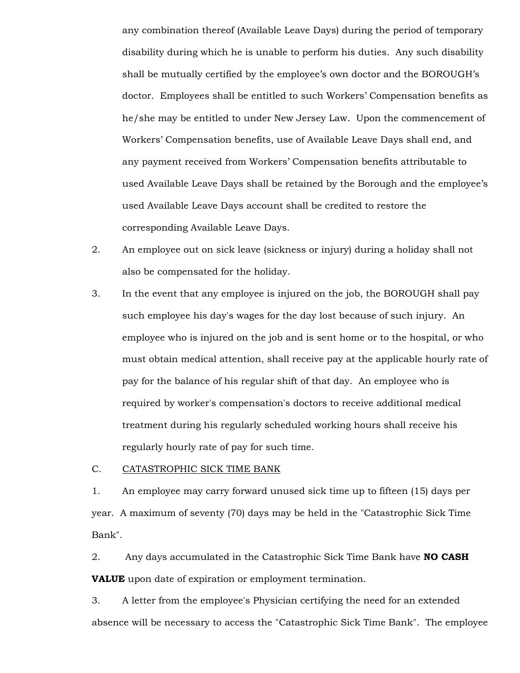any combination thereof (Available Leave Days) during the period of temporary disability during which he is unable to perform his duties. Any such disability shall be mutually certified by the employee's own doctor and the BOROUGH's doctor. Employees shall be entitled to such Workers' Compensation benefits as he/she may be entitled to under New Jersey Law. Upon the commencement of Workers' Compensation benefits, use of Available Leave Days shall end, and any payment received from Workers' Compensation benefits attributable to used Available Leave Days shall be retained by the Borough and the employee's used Available Leave Days account shall be credited to restore the corresponding Available Leave Days.

- 2. An employee out on sick leave (sickness or injury) during a holiday shall not also be compensated for the holiday.
- 3. In the event that any employee is injured on the job, the BOROUGH shall pay such employee his day's wages for the day lost because of such injury. An employee who is injured on the job and is sent home or to the hospital, or who must obtain medical attention, shall receive pay at the applicable hourly rate of pay for the balance of his regular shift of that day. An employee who is required by worker's compensation's doctors to receive additional medical treatment during his regularly scheduled working hours shall receive his regularly hourly rate of pay for such time.

# C. CATASTROPHIC SICK TIME BANK

1. An employee may carry forward unused sick time up to fifteen (15) days per year. A maximum of seventy (70) days may be held in the "Catastrophic Sick Time Bank".

2. Any days accumulated in the Catastrophic Sick Time Bank have **NO CASH VALUE** upon date of expiration or employment termination.

3. A letter from the employee's Physician certifying the need for an extended absence will be necessary to access the "Catastrophic Sick Time Bank". The employee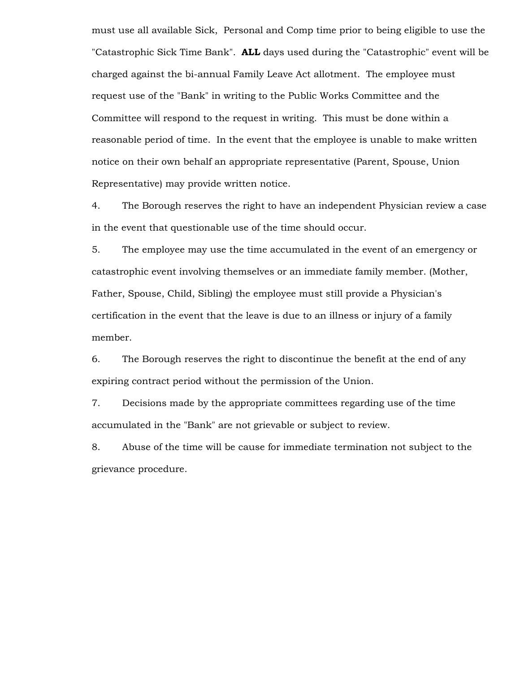must use all available Sick, Personal and Comp time prior to being eligible to use the "Catastrophic Sick Time Bank". **ALL** days used during the "Catastrophic" event will be charged against the bi-annual Family Leave Act allotment. The employee must request use of the "Bank" in writing to the Public Works Committee and the Committee will respond to the request in writing. This must be done within a reasonable period of time. In the event that the employee is unable to make written notice on their own behalf an appropriate representative (Parent, Spouse, Union Representative) may provide written notice.

4. The Borough reserves the right to have an independent Physician review a case in the event that questionable use of the time should occur.

5. The employee may use the time accumulated in the event of an emergency or catastrophic event involving themselves or an immediate family member. (Mother, Father, Spouse, Child, Sibling) the employee must still provide a Physician's certification in the event that the leave is due to an illness or injury of a family member.

6. The Borough reserves the right to discontinue the benefit at the end of any expiring contract period without the permission of the Union.

7. Decisions made by the appropriate committees regarding use of the time accumulated in the "Bank" are not grievable or subject to review.

8. Abuse of the time will be cause for immediate termination not subject to the grievance procedure.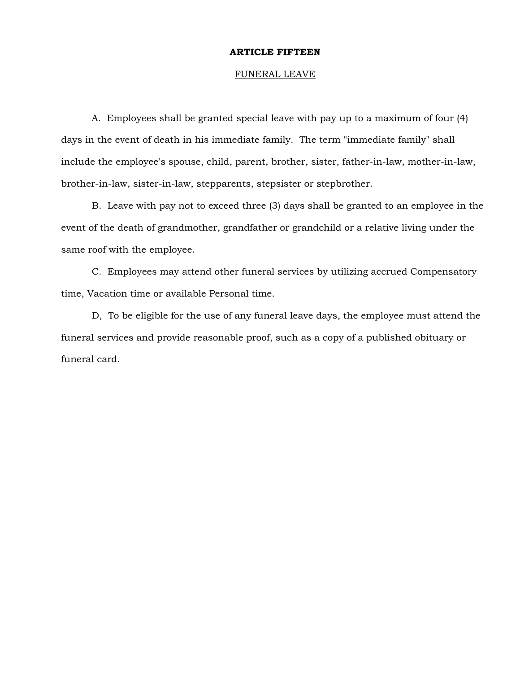# **ARTICLE FIFTEEN**

# FUNERAL LEAVE

 A. Employees shall be granted special leave with pay up to a maximum of four (4) days in the event of death in his immediate family. The term "immediate family" shall include the employee's spouse, child, parent, brother, sister, father-in-law, mother-in-law, brother-in-law, sister-in-law, stepparents, stepsister or stepbrother.

 B. Leave with pay not to exceed three (3) days shall be granted to an employee in the event of the death of grandmother, grandfather or grandchild or a relative living under the same roof with the employee.

 C. Employees may attend other funeral services by utilizing accrued Compensatory time, Vacation time or available Personal time.

 D, To be eligible for the use of any funeral leave days, the employee must attend the funeral services and provide reasonable proof, such as a copy of a published obituary or funeral card.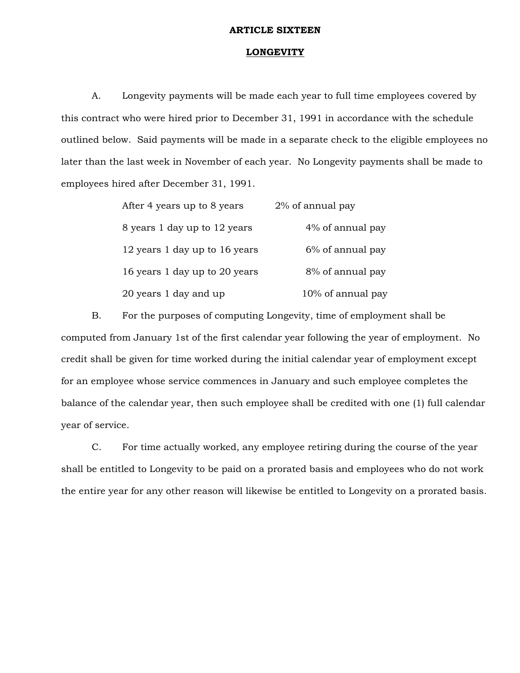#### **ARTICLE SIXTEEN**

# **LONGEVITY**

 A. Longevity payments will be made each year to full time employees covered by this contract who were hired prior to December 31, 1991 in accordance with the schedule outlined below. Said payments will be made in a separate check to the eligible employees no later than the last week in November of each year. No Longevity payments shall be made to employees hired after December 31, 1991.

| After 4 years up to 8 years   | 2% of annual pay  |
|-------------------------------|-------------------|
| 8 years 1 day up to 12 years  | 4% of annual pay  |
| 12 years 1 day up to 16 years | 6% of annual pay  |
| 16 years 1 day up to 20 years | 8% of annual pay  |
| 20 years 1 day and up         | 10% of annual pay |

 B. For the purposes of computing Longevity, time of employment shall be computed from January 1st of the first calendar year following the year of employment. No credit shall be given for time worked during the initial calendar year of employment except for an employee whose service commences in January and such employee completes the balance of the calendar year, then such employee shall be credited with one (1) full calendar year of service.

 C. For time actually worked, any employee retiring during the course of the year shall be entitled to Longevity to be paid on a prorated basis and employees who do not work the entire year for any other reason will likewise be entitled to Longevity on a prorated basis.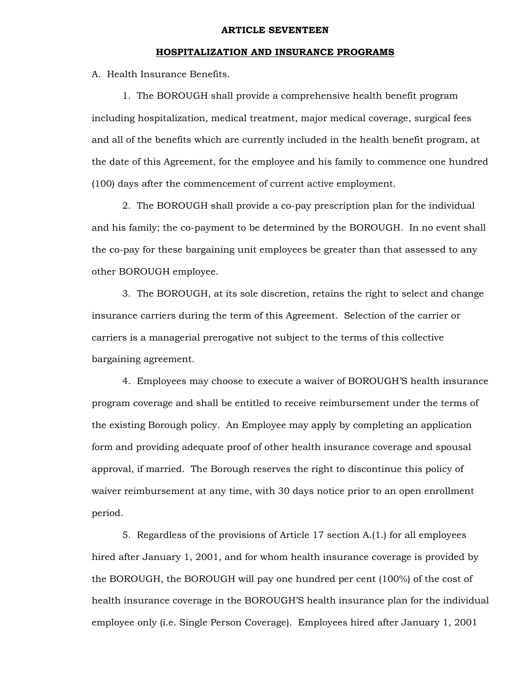#### **ARTICLE SEVENTEEN**

# **HOSPITALIZATION AND INSURANCE PROGRAMS**

A. Health Insurance Benefits.

 1. The BOROUGH shall provide a comprehensive health benefit program including hospitalization, medical treatment, major medical coverage, surgical fees and all of the benefits which are currently included in the health benefit program, at the date of this Agreement, for the employee and his family to commence one hundred (100) days after the commencement of current active employment.

 2. The BOROUGH shall provide a co-pay prescription plan for the individual and his family; the co-payment to be determined by the BOROUGH. In no event shall the co-pay for these bargaining unit employees be greater than that assessed to any other BOROUGH employee.

 3. The BOROUGH, at its sole discretion, retains the right to select and change insurance carriers during the term of this Agreement. Selection of the carrier or carriers is a managerial prerogative not subject to the terms of this collective bargaining agreement.

 4. Employees may choose to execute a waiver of BOROUGH'S health insurance program coverage and shall be entitled to receive reimbursement under the terms of the existing Borough policy. An Employee may apply by completing an application form and providing adequate proof of other health insurance coverage and spousal approval, if married. The Borough reserves the right to discontinue this policy of waiver reimbursement at any time, with 30 days notice prior to an open enrollment period.

 5. Regardless of the provisions of Article 17 section A.(1.) for all employees hired after January 1, 2001, and for whom health insurance coverage is provided by the BOROUGH, the BOROUGH will pay one hundred per cent (100%) of the cost of health insurance coverage in the BOROUGH'S health insurance plan for the individual employee only (i.e. Single Person Coverage). Employees hired after January 1, 2001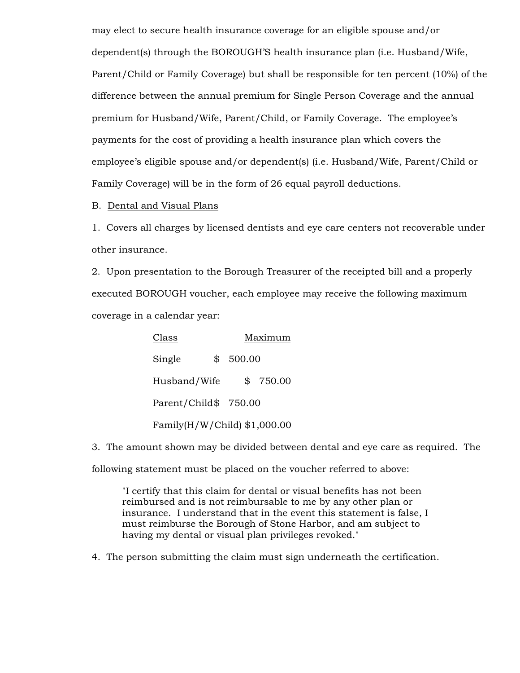may elect to secure health insurance coverage for an eligible spouse and/or dependent(s) through the BOROUGH'S health insurance plan (i.e. Husband/Wife, Parent/Child or Family Coverage) but shall be responsible for ten percent (10%) of the difference between the annual premium for Single Person Coverage and the annual premium for Husband/Wife, Parent/Child, or Family Coverage. The employee's payments for the cost of providing a health insurance plan which covers the employee's eligible spouse and/or dependent(s) (i.e. Husband/Wife, Parent/Child or Family Coverage) will be in the form of 26 equal payroll deductions.

B. Dental and Visual Plans

1. Covers all charges by licensed dentists and eye care centers not recoverable under other insurance.

2. Upon presentation to the Borough Treasurer of the receipted bill and a properly executed BOROUGH voucher, each employee may receive the following maximum coverage in a calendar year:

| Class                        | Maximum    |        |          |
|------------------------------|------------|--------|----------|
| Single                       | $^{\circ}$ | 500.00 |          |
| Husband/Wife                 |            |        | \$750.00 |
| Parent/Child\$ 750.00        |            |        |          |
| Family(H/W/Child) \$1,000.00 |            |        |          |

3. The amount shown may be divided between dental and eye care as required. The

following statement must be placed on the voucher referred to above:

"I certify that this claim for dental or visual benefits has not been reimbursed and is not reimbursable to me by any other plan or insurance. I understand that in the event this statement is false, I must reimburse the Borough of Stone Harbor, and am subject to having my dental or visual plan privileges revoked."

4. The person submitting the claim must sign underneath the certification.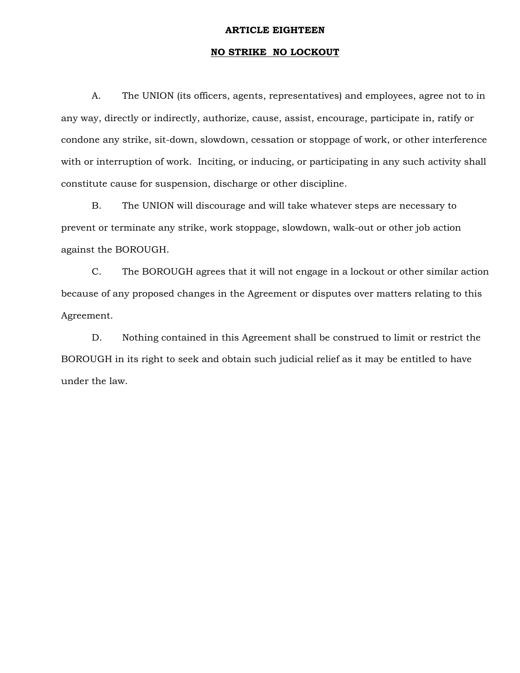# **ARTICLE EIGHTEEN**

# **NO STRIKE NO LOCKOUT**

 A. The UNION (its officers, agents, representatives) and employees, agree not to in any way, directly or indirectly, authorize, cause, assist, encourage, participate in, ratify or condone any strike, sit-down, slowdown, cessation or stoppage of work, or other interference with or interruption of work. Inciting, or inducing, or participating in any such activity shall constitute cause for suspension, discharge or other discipline.

 B. The UNION will discourage and will take whatever steps are necessary to prevent or terminate any strike, work stoppage, slowdown, walk-out or other job action against the BOROUGH.

 C. The BOROUGH agrees that it will not engage in a lockout or other similar action because of any proposed changes in the Agreement or disputes over matters relating to this Agreement.

 D. Nothing contained in this Agreement shall be construed to limit or restrict the BOROUGH in its right to seek and obtain such judicial relief as it may be entitled to have under the law.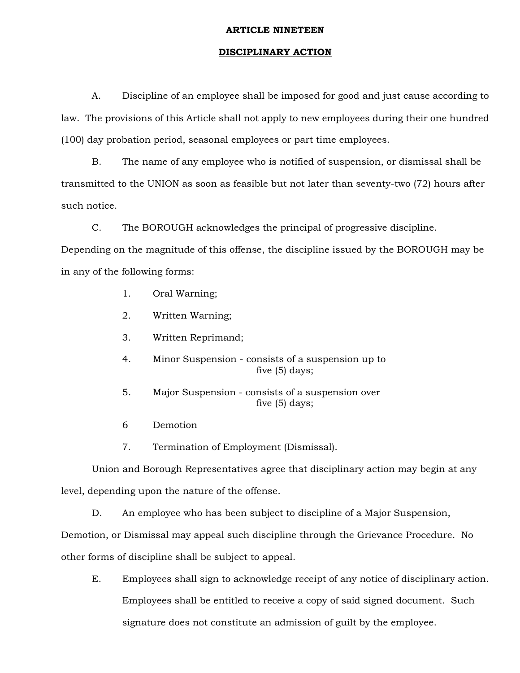# **ARTICLE NINETEEN**

# **DISCIPLINARY ACTION**

 A. Discipline of an employee shall be imposed for good and just cause according to law. The provisions of this Article shall not apply to new employees during their one hundred (100) day probation period, seasonal employees or part time employees.

 B. The name of any employee who is notified of suspension, or dismissal shall be transmitted to the UNION as soon as feasible but not later than seventy-two (72) hours after such notice.

C. The BOROUGH acknowledges the principal of progressive discipline.

Depending on the magnitude of this offense, the discipline issued by the BOROUGH may be in any of the following forms:

- 1. Oral Warning;
- 2. Written Warning;
- 3. Written Reprimand;
- 4. Minor Suspension consists of a suspension up to five (5) days;
- 5. Major Suspension consists of a suspension over five (5) days;
- 6 Demotion
- 7. Termination of Employment (Dismissal).

 Union and Borough Representatives agree that disciplinary action may begin at any level, depending upon the nature of the offense.

D. An employee who has been subject to discipline of a Major Suspension,

Demotion, or Dismissal may appeal such discipline through the Grievance Procedure. No

other forms of discipline shall be subject to appeal.

 E. Employees shall sign to acknowledge receipt of any notice of disciplinary action. Employees shall be entitled to receive a copy of said signed document. Such signature does not constitute an admission of guilt by the employee.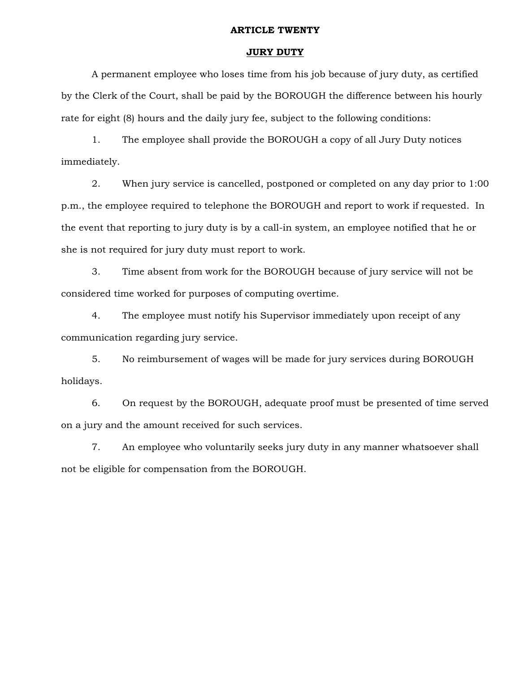# **ARTICLE TWENTY**

# **JURY DUTY**

 A permanent employee who loses time from his job because of jury duty, as certified by the Clerk of the Court, shall be paid by the BOROUGH the difference between his hourly rate for eight (8) hours and the daily jury fee, subject to the following conditions:

 1. The employee shall provide the BOROUGH a copy of all Jury Duty notices immediately.

 2. When jury service is cancelled, postponed or completed on any day prior to 1:00 p.m., the employee required to telephone the BOROUGH and report to work if requested. In the event that reporting to jury duty is by a call-in system, an employee notified that he or she is not required for jury duty must report to work.

 3. Time absent from work for the BOROUGH because of jury service will not be considered time worked for purposes of computing overtime.

 4. The employee must notify his Supervisor immediately upon receipt of any communication regarding jury service.

 5. No reimbursement of wages will be made for jury services during BOROUGH holidays.

 6. On request by the BOROUGH, adequate proof must be presented of time served on a jury and the amount received for such services.

 7. An employee who voluntarily seeks jury duty in any manner whatsoever shall not be eligible for compensation from the BOROUGH.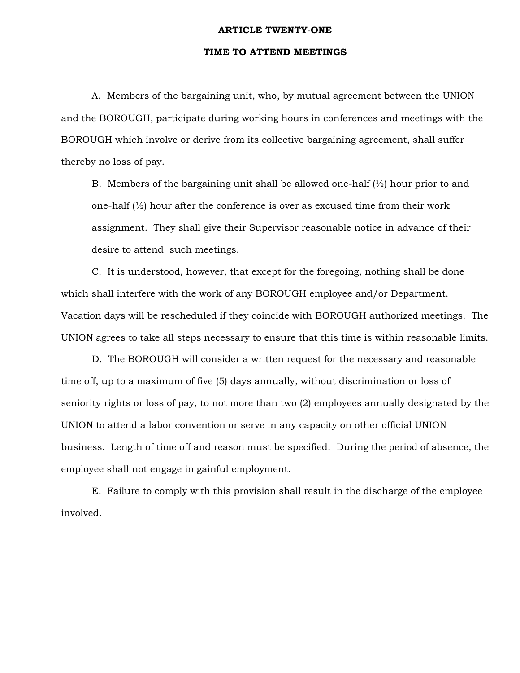# **ARTICLE TWENTY-ONE**

# **TIME TO ATTEND MEETINGS**

 A. Members of the bargaining unit, who, by mutual agreement between the UNION and the BOROUGH, participate during working hours in conferences and meetings with the BOROUGH which involve or derive from its collective bargaining agreement, shall suffer thereby no loss of pay.

B. Members of the bargaining unit shall be allowed one-half  $\mathcal{V}_2$  hour prior to and one-half (½) hour after the conference is over as excused time from their work assignment. They shall give their Supervisor reasonable notice in advance of their desire to attend such meetings.

 C. It is understood, however, that except for the foregoing, nothing shall be done which shall interfere with the work of any BOROUGH employee and/or Department. Vacation days will be rescheduled if they coincide with BOROUGH authorized meetings. The UNION agrees to take all steps necessary to ensure that this time is within reasonable limits.

 D. The BOROUGH will consider a written request for the necessary and reasonable time off, up to a maximum of five (5) days annually, without discrimination or loss of seniority rights or loss of pay, to not more than two (2) employees annually designated by the UNION to attend a labor convention or serve in any capacity on other official UNION business. Length of time off and reason must be specified. During the period of absence, the employee shall not engage in gainful employment.

 E. Failure to comply with this provision shall result in the discharge of the employee involved.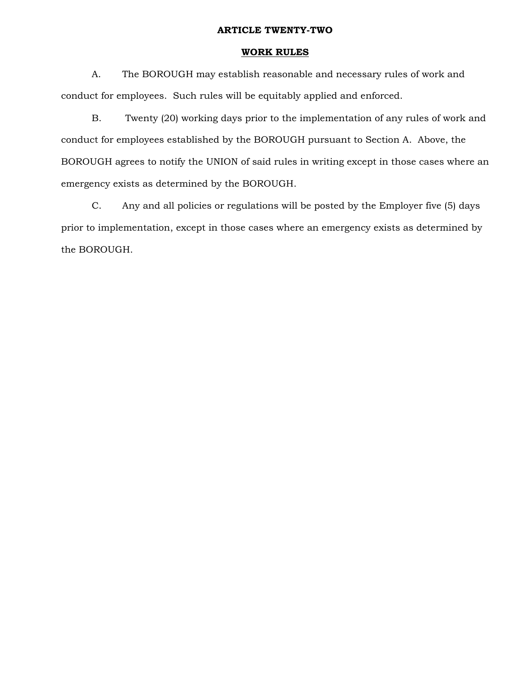# **ARTICLE TWENTY-TWO**

# **WORK RULES**

 A. The BOROUGH may establish reasonable and necessary rules of work and conduct for employees. Such rules will be equitably applied and enforced.

 B. Twenty (20) working days prior to the implementation of any rules of work and conduct for employees established by the BOROUGH pursuant to Section A. Above, the BOROUGH agrees to notify the UNION of said rules in writing except in those cases where an emergency exists as determined by the BOROUGH.

 C. Any and all policies or regulations will be posted by the Employer five (5) days prior to implementation, except in those cases where an emergency exists as determined by the BOROUGH.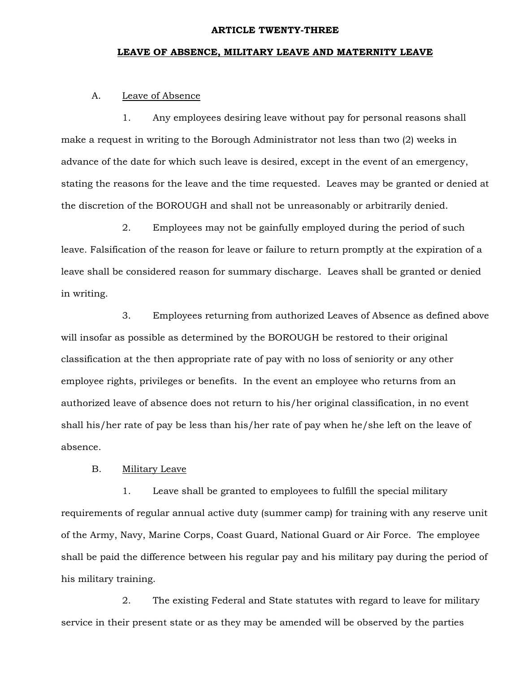# **ARTICLE TWENTY-THREE**

# **LEAVE OF ABSENCE, MILITARY LEAVE AND MATERNITY LEAVE**

# A. Leave of Absence

 1. Any employees desiring leave without pay for personal reasons shall make a request in writing to the Borough Administrator not less than two (2) weeks in advance of the date for which such leave is desired, except in the event of an emergency, stating the reasons for the leave and the time requested. Leaves may be granted or denied at the discretion of the BOROUGH and shall not be unreasonably or arbitrarily denied.

 2. Employees may not be gainfully employed during the period of such leave. Falsification of the reason for leave or failure to return promptly at the expiration of a leave shall be considered reason for summary discharge. Leaves shall be granted or denied in writing.

 3. Employees returning from authorized Leaves of Absence as defined above will insofar as possible as determined by the BOROUGH be restored to their original classification at the then appropriate rate of pay with no loss of seniority or any other employee rights, privileges or benefits. In the event an employee who returns from an authorized leave of absence does not return to his/her original classification, in no event shall his/her rate of pay be less than his/her rate of pay when he/she left on the leave of absence.

# B. Military Leave

 1. Leave shall be granted to employees to fulfill the special military requirements of regular annual active duty (summer camp) for training with any reserve unit of the Army, Navy, Marine Corps, Coast Guard, National Guard or Air Force. The employee shall be paid the difference between his regular pay and his military pay during the period of his military training.

 2. The existing Federal and State statutes with regard to leave for military service in their present state or as they may be amended will be observed by the parties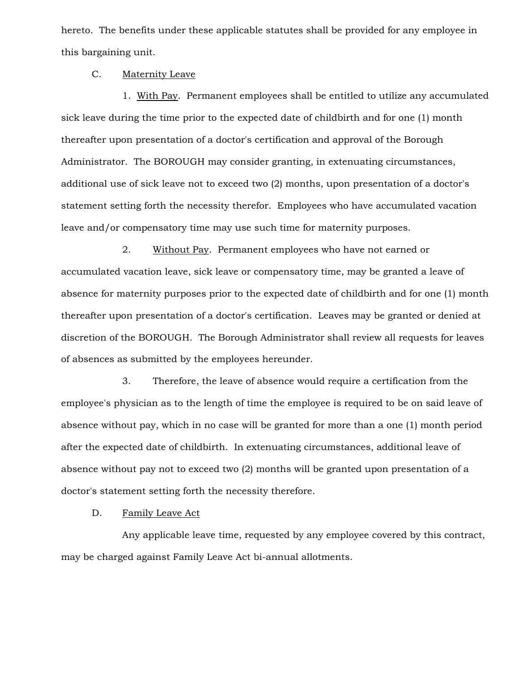hereto. The benefits under these applicable statutes shall be provided for any employee in this bargaining unit.

# C. Maternity Leave

 1. With Pay. Permanent employees shall be entitled to utilize any accumulated sick leave during the time prior to the expected date of childbirth and for one (1) month thereafter upon presentation of a doctor's certification and approval of the Borough Administrator. The BOROUGH may consider granting, in extenuating circumstances, additional use of sick leave not to exceed two (2) months, upon presentation of a doctor's statement setting forth the necessity therefor. Employees who have accumulated vacation leave and/or compensatory time may use such time for maternity purposes.

2. Without Pay. Permanent employees who have not earned or accumulated vacation leave, sick leave or compensatory time, may be granted a leave of absence for maternity purposes prior to the expected date of childbirth and for one (1) month thereafter upon presentation of a doctor's certification. Leaves may be granted or denied at discretion of the BOROUGH. The Borough Administrator shall review all requests for leaves of absences as submitted by the employees hereunder.

 3. Therefore, the leave of absence would require a certification from the employee's physician as to the length of time the employee is required to be on said leave of absence without pay, which in no case will be granted for more than a one (1) month period after the expected date of childbirth. In extenuating circumstances, additional leave of absence without pay not to exceed two (2) months will be granted upon presentation of a doctor's statement setting forth the necessity therefore.

# D. Family Leave Act

 Any applicable leave time, requested by any employee covered by this contract, may be charged against Family Leave Act bi-annual allotments.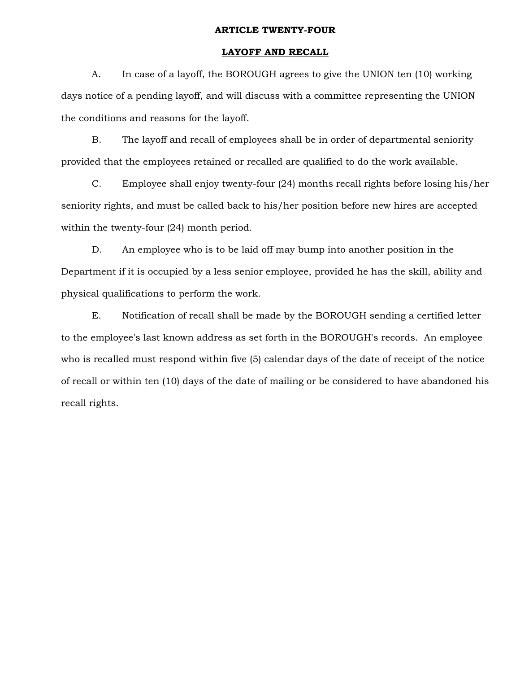# **ARTICLE TWENTY-FOUR**

# **LAYOFF AND RECALL**

 A. In case of a layoff, the BOROUGH agrees to give the UNION ten (10) working days notice of a pending layoff, and will discuss with a committee representing the UNION the conditions and reasons for the layoff.

 B. The layoff and recall of employees shall be in order of departmental seniority provided that the employees retained or recalled are qualified to do the work available.

 C. Employee shall enjoy twenty-four (24) months recall rights before losing his/her seniority rights, and must be called back to his/her position before new hires are accepted within the twenty-four (24) month period.

 D. An employee who is to be laid off may bump into another position in the Department if it is occupied by a less senior employee, provided he has the skill, ability and physical qualifications to perform the work.

 E. Notification of recall shall be made by the BOROUGH sending a certified letter to the employee's last known address as set forth in the BOROUGH's records. An employee who is recalled must respond within five (5) calendar days of the date of receipt of the notice of recall or within ten (10) days of the date of mailing or be considered to have abandoned his recall rights.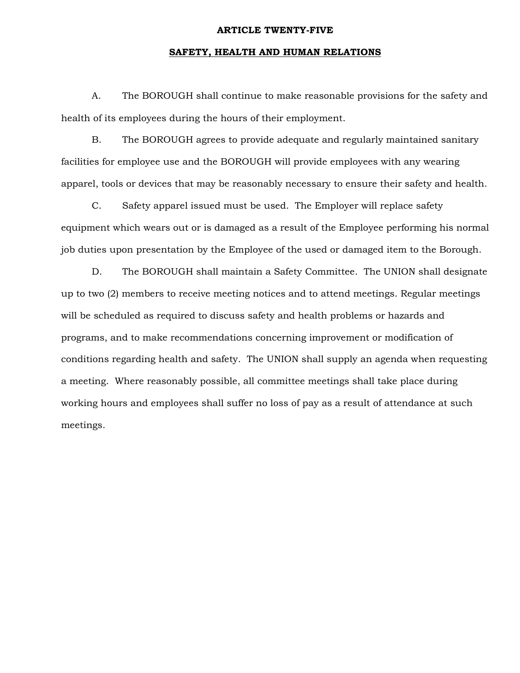#### **ARTICLE TWENTY-FIVE**

# **SAFETY, HEALTH AND HUMAN RELATIONS**

 A. The BOROUGH shall continue to make reasonable provisions for the safety and health of its employees during the hours of their employment.

 B. The BOROUGH agrees to provide adequate and regularly maintained sanitary facilities for employee use and the BOROUGH will provide employees with any wearing apparel, tools or devices that may be reasonably necessary to ensure their safety and health.

 C. Safety apparel issued must be used. The Employer will replace safety equipment which wears out or is damaged as a result of the Employee performing his normal job duties upon presentation by the Employee of the used or damaged item to the Borough.

 D. The BOROUGH shall maintain a Safety Committee. The UNION shall designate up to two (2) members to receive meeting notices and to attend meetings. Regular meetings will be scheduled as required to discuss safety and health problems or hazards and programs, and to make recommendations concerning improvement or modification of conditions regarding health and safety. The UNION shall supply an agenda when requesting a meeting. Where reasonably possible, all committee meetings shall take place during working hours and employees shall suffer no loss of pay as a result of attendance at such meetings.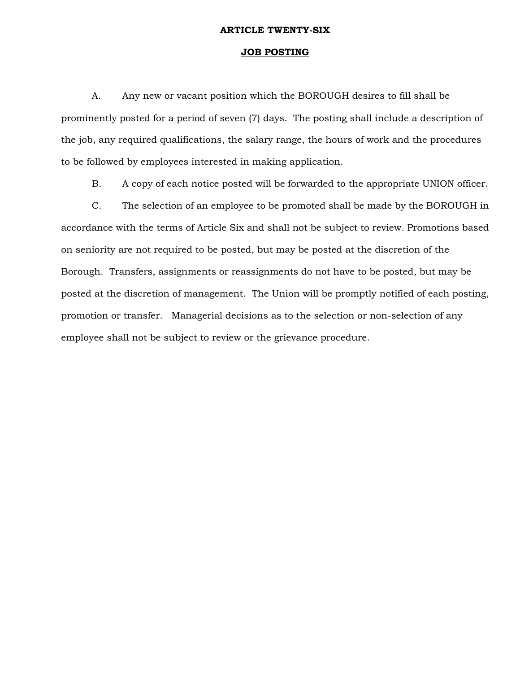#### **ARTICLE TWENTY-SIX**

# **JOB POSTING**

 A. Any new or vacant position which the BOROUGH desires to fill shall be prominently posted for a period of seven (7) days. The posting shall include a description of the job, any required qualifications, the salary range, the hours of work and the procedures to be followed by employees interested in making application.

B. A copy of each notice posted will be forwarded to the appropriate UNION officer.

 C. The selection of an employee to be promoted shall be made by the BOROUGH in accordance with the terms of Article Six and shall not be subject to review. Promotions based on seniority are not required to be posted, but may be posted at the discretion of the Borough. Transfers, assignments or reassignments do not have to be posted, but may be posted at the discretion of management. The Union will be promptly notified of each posting, promotion or transfer. Managerial decisions as to the selection or non-selection of any employee shall not be subject to review or the grievance procedure.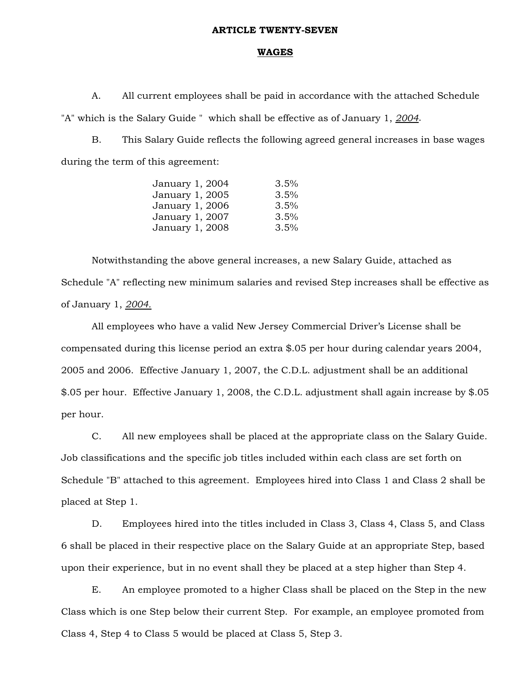#### **ARTICLE TWENTY-SEVEN**

#### **WAGES**

 A. All current employees shall be paid in accordance with the attached Schedule "A" which is the Salary Guide " which shall be effective as of January 1, *2004*.

 B. This Salary Guide reflects the following agreed general increases in base wages during the term of this agreement:

| January 1, 2004 | 3.5% |
|-----------------|------|
| January 1, 2005 | 3.5% |
| January 1, 2006 | 3.5% |
| January 1, 2007 | 3.5% |
| January 1, 2008 | 3.5% |

 Notwithstanding the above general increases, a new Salary Guide, attached as Schedule "A" reflecting new minimum salaries and revised Step increases shall be effective as of January 1, *2004.*

 All employees who have a valid New Jersey Commercial Driver's License shall be compensated during this license period an extra \$.05 per hour during calendar years 2004, 2005 and 2006. Effective January 1, 2007, the C.D.L. adjustment shall be an additional \$.05 per hour. Effective January 1, 2008, the C.D.L. adjustment shall again increase by \$.05 per hour.

 C. All new employees shall be placed at the appropriate class on the Salary Guide. Job classifications and the specific job titles included within each class are set forth on Schedule "B" attached to this agreement. Employees hired into Class 1 and Class 2 shall be placed at Step 1.

 D. Employees hired into the titles included in Class 3, Class 4, Class 5, and Class 6 shall be placed in their respective place on the Salary Guide at an appropriate Step, based upon their experience, but in no event shall they be placed at a step higher than Step 4.

 E. An employee promoted to a higher Class shall be placed on the Step in the new Class which is one Step below their current Step. For example, an employee promoted from Class 4, Step 4 to Class 5 would be placed at Class 5, Step 3.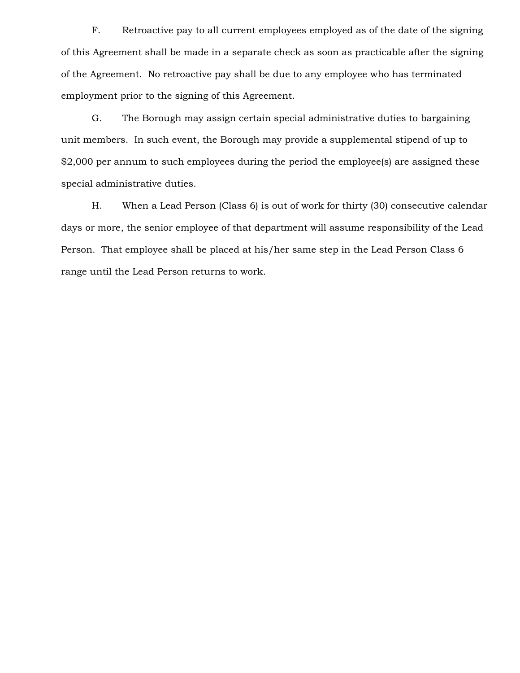F. Retroactive pay to all current employees employed as of the date of the signing of this Agreement shall be made in a separate check as soon as practicable after the signing of the Agreement. No retroactive pay shall be due to any employee who has terminated employment prior to the signing of this Agreement.

 G. The Borough may assign certain special administrative duties to bargaining unit members. In such event, the Borough may provide a supplemental stipend of up to \$2,000 per annum to such employees during the period the employee(s) are assigned these special administrative duties.

 H. When a Lead Person (Class 6) is out of work for thirty (30) consecutive calendar days or more, the senior employee of that department will assume responsibility of the Lead Person. That employee shall be placed at his/her same step in the Lead Person Class 6 range until the Lead Person returns to work.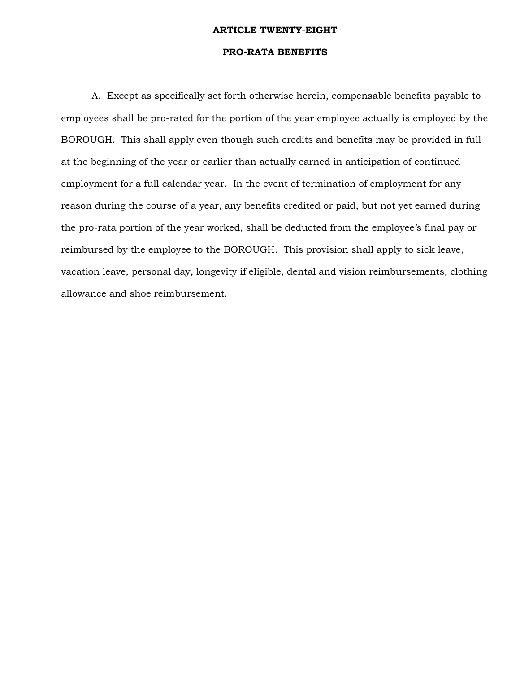# **ARTICLE TWENTY-EIGHT**

# **PRO-RATA BENEFITS**

A. Except as specifically set forth otherwise herein, compensable benefits payable to employees shall be pro-rated for the portion of the year employee actually is employed by the BOROUGH. This shall apply even though such credits and benefits may be provided in full at the beginning of the year or earlier than actually earned in anticipation of continued employment for a full calendar year. In the event of termination of employment for any reason during the course of a year, any benefits credited or paid, but not yet earned during the pro-rata portion of the year worked, shall be deducted from the employee's final pay or reimbursed by the employee to the BOROUGH. This provision shall apply to sick leave, vacation leave, personal day, longevity if eligible, dental and vision reimbursements, clothing allowance and shoe reimbursement.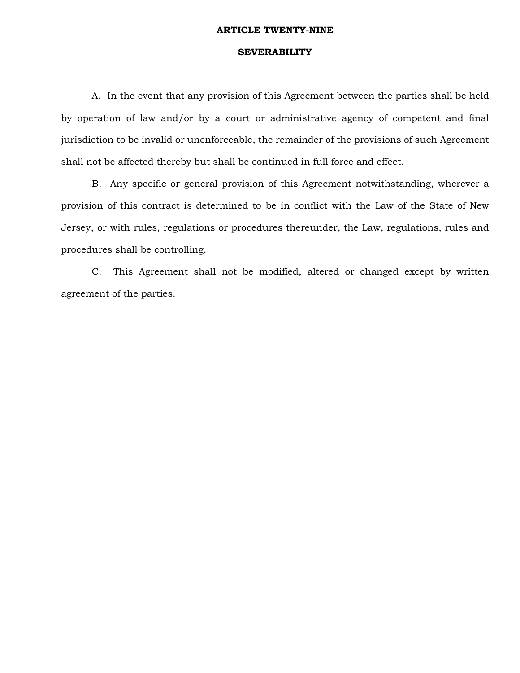#### **ARTICLE TWENTY-NINE**

# **SEVERABILITY**

 A. In the event that any provision of this Agreement between the parties shall be held by operation of law and/or by a court or administrative agency of competent and final jurisdiction to be invalid or unenforceable, the remainder of the provisions of such Agreement shall not be affected thereby but shall be continued in full force and effect.

 B. Any specific or general provision of this Agreement notwithstanding, wherever a provision of this contract is determined to be in conflict with the Law of the State of New Jersey, or with rules, regulations or procedures thereunder, the Law, regulations, rules and procedures shall be controlling.

 C. This Agreement shall not be modified, altered or changed except by written agreement of the parties.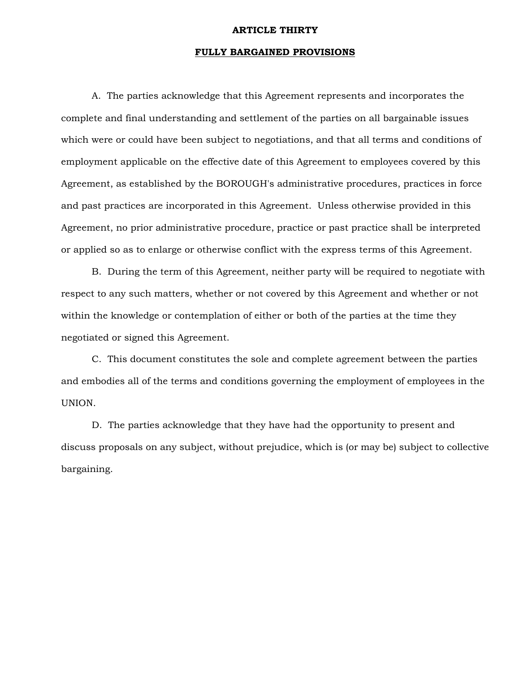#### **ARTICLE THIRTY**

# **FULLY BARGAINED PROVISIONS**

 A. The parties acknowledge that this Agreement represents and incorporates the complete and final understanding and settlement of the parties on all bargainable issues which were or could have been subject to negotiations, and that all terms and conditions of employment applicable on the effective date of this Agreement to employees covered by this Agreement, as established by the BOROUGH's administrative procedures, practices in force and past practices are incorporated in this Agreement. Unless otherwise provided in this Agreement, no prior administrative procedure, practice or past practice shall be interpreted or applied so as to enlarge or otherwise conflict with the express terms of this Agreement.

 B. During the term of this Agreement, neither party will be required to negotiate with respect to any such matters, whether or not covered by this Agreement and whether or not within the knowledge or contemplation of either or both of the parties at the time they negotiated or signed this Agreement.

 C. This document constitutes the sole and complete agreement between the parties and embodies all of the terms and conditions governing the employment of employees in the UNION.

 D. The parties acknowledge that they have had the opportunity to present and discuss proposals on any subject, without prejudice, which is (or may be) subject to collective bargaining.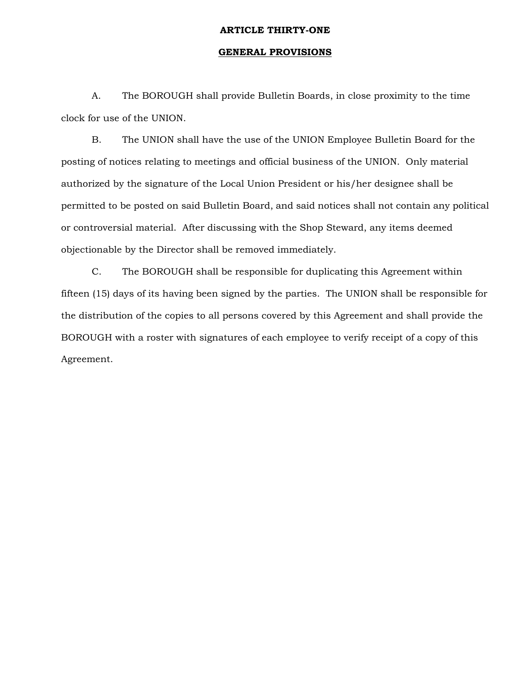# **ARTICLE THIRTY-ONE**

# **GENERAL PROVISIONS**

 A. The BOROUGH shall provide Bulletin Boards, in close proximity to the time clock for use of the UNION.

 B. The UNION shall have the use of the UNION Employee Bulletin Board for the posting of notices relating to meetings and official business of the UNION. Only material authorized by the signature of the Local Union President or his/her designee shall be permitted to be posted on said Bulletin Board, and said notices shall not contain any political or controversial material. After discussing with the Shop Steward, any items deemed objectionable by the Director shall be removed immediately.

 C. The BOROUGH shall be responsible for duplicating this Agreement within fifteen (15) days of its having been signed by the parties. The UNION shall be responsible for the distribution of the copies to all persons covered by this Agreement and shall provide the BOROUGH with a roster with signatures of each employee to verify receipt of a copy of this Agreement.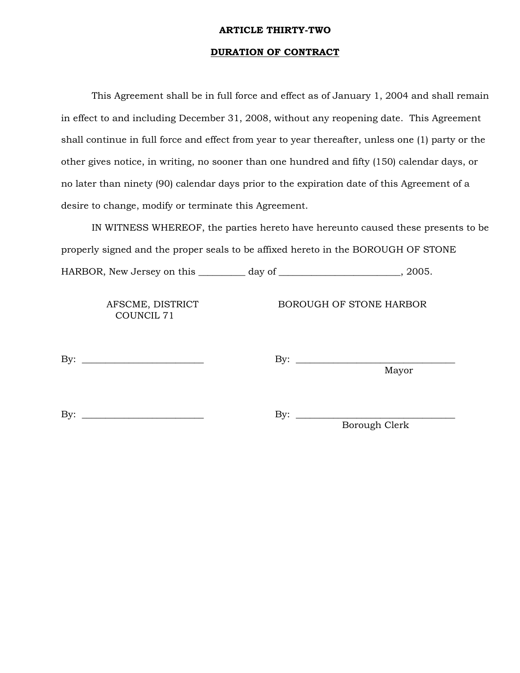# **ARTICLE THIRTY-TWO**

# **DURATION OF CONTRACT**

 This Agreement shall be in full force and effect as of January 1, 2004 and shall remain in effect to and including December 31, 2008, without any reopening date. This Agreement shall continue in full force and effect from year to year thereafter, unless one (1) party or the other gives notice, in writing, no sooner than one hundred and fifty (150) calendar days, or no later than ninety (90) calendar days prior to the expiration date of this Agreement of a desire to change, modify or terminate this Agreement.

 IN WITNESS WHEREOF, the parties hereto have hereunto caused these presents to be properly signed and the proper seals to be affixed hereto in the BOROUGH OF STONE HARBOR, New Jersey on this \_\_\_\_\_\_\_\_\_\_ day of \_\_\_\_\_\_\_\_\_\_\_\_\_\_\_\_\_\_\_\_\_\_\_\_\_\_, 2005.

COUNCIL 71

AFSCME, DISTRICT BOROUGH OF STONE HARBOR

By: \_\_\_\_\_\_\_\_\_\_\_\_\_\_\_\_\_\_\_\_\_\_\_\_\_\_ By: \_\_\_\_\_\_\_\_\_\_\_\_\_\_\_\_\_\_\_\_\_\_\_\_\_\_\_\_\_\_\_\_\_\_

Mayor

By: \_\_\_\_\_\_\_\_\_\_\_\_\_\_\_\_\_\_\_\_\_\_\_\_\_\_ By: \_\_\_\_\_\_\_\_\_\_\_\_\_\_\_\_\_\_\_\_\_\_\_\_\_\_\_\_\_\_\_\_\_\_

Borough Clerk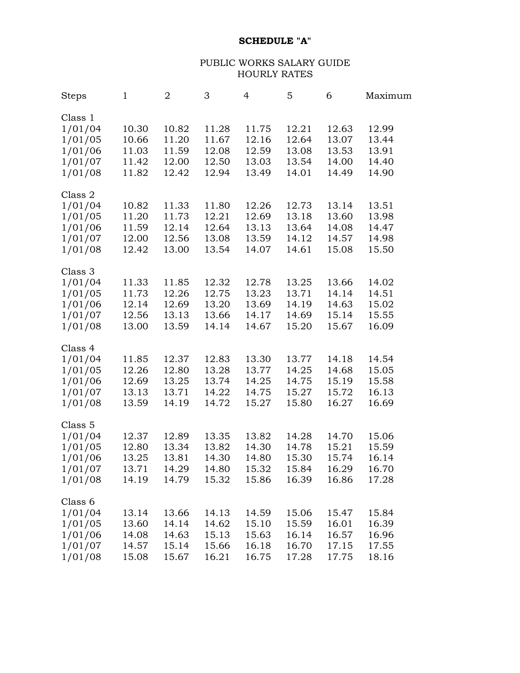# **SCHEDULE "A"**

# PUBLIC WORKS SALARY GUIDE HOURLY RATES

| <b>Steps</b>                                                              | $\mathbf{1}$                              | $\overline{2}$                            | 3                                         | $\overline{4}$                            | 5                                         | 6                                         | Maximum                                   |
|---------------------------------------------------------------------------|-------------------------------------------|-------------------------------------------|-------------------------------------------|-------------------------------------------|-------------------------------------------|-------------------------------------------|-------------------------------------------|
| Class 1<br>1/01/04<br>1/01/05<br>1/01/06<br>1/01/07<br>1/01/08            | 10.30<br>10.66<br>11.03<br>11.42<br>11.82 | 10.82<br>11.20<br>11.59<br>12.00<br>12.42 | 11.28<br>11.67<br>12.08<br>12.50<br>12.94 | 11.75<br>12.16<br>12.59<br>13.03<br>13.49 | 12.21<br>12.64<br>13.08<br>13.54<br>14.01 | 12.63<br>13.07<br>13.53<br>14.00<br>14.49 | 12.99<br>13.44<br>13.91<br>14.40<br>14.90 |
| Class 2<br>1/01/04<br>1/01/05<br>1/01/06<br>1/01/07<br>1/01/08            | 10.82<br>11.20<br>11.59<br>12.00<br>12.42 | 11.33<br>11.73<br>12.14<br>12.56<br>13.00 | 11.80<br>12.21<br>12.64<br>13.08<br>13.54 | 12.26<br>12.69<br>13.13<br>13.59<br>14.07 | 12.73<br>13.18<br>13.64<br>14.12<br>14.61 | 13.14<br>13.60<br>14.08<br>14.57<br>15.08 | 13.51<br>13.98<br>14.47<br>14.98<br>15.50 |
| Class 3<br>1/01/04<br>1/01/05<br>1/01/06<br>1/01/07<br>1/01/08            | 11.33<br>11.73<br>12.14<br>12.56<br>13.00 | 11.85<br>12.26<br>12.69<br>13.13<br>13.59 | 12.32<br>12.75<br>13.20<br>13.66<br>14.14 | 12.78<br>13.23<br>13.69<br>14.17<br>14.67 | 13.25<br>13.71<br>14.19<br>14.69<br>15.20 | 13.66<br>14.14<br>14.63<br>15.14<br>15.67 | 14.02<br>14.51<br>15.02<br>15.55<br>16.09 |
| Class 4<br>1/01/04<br>1/01/05<br>1/01/06<br>1/01/07<br>1/01/08            | 11.85<br>12.26<br>12.69<br>13.13<br>13.59 | 12.37<br>12.80<br>13.25<br>13.71<br>14.19 | 12.83<br>13.28<br>13.74<br>14.22<br>14.72 | 13.30<br>13.77<br>14.25<br>14.75<br>15.27 | 13.77<br>14.25<br>14.75<br>15.27<br>15.80 | 14.18<br>14.68<br>15.19<br>15.72<br>16.27 | 14.54<br>15.05<br>15.58<br>16.13<br>16.69 |
| Class <sub>5</sub><br>1/01/04<br>1/01/05<br>1/01/06<br>1/01/07<br>1/01/08 | 12.37<br>12.80<br>13.25<br>13.71<br>14.19 | 12.89<br>13.34<br>13.81<br>14.29<br>14.79 | 13.35<br>13.82<br>14.30<br>14.80<br>15.32 | 13.82<br>14.30<br>14.80<br>15.32<br>15.86 | 14.28<br>14.78<br>15.30<br>15.84<br>16.39 | 14.70<br>15.21<br>15.74<br>16.29<br>16.86 | 15.06<br>15.59<br>16.14<br>16.70<br>17.28 |
| Class 6<br>1/01/04<br>1/01/05<br>1/01/06<br>1/01/07<br>1/01/08            | 13.14<br>13.60<br>14.08<br>14.57<br>15.08 | 13.66<br>14.14<br>14.63<br>15.14<br>15.67 | 14.13<br>14.62<br>15.13<br>15.66<br>16.21 | 14.59<br>15.10<br>15.63<br>16.18<br>16.75 | 15.06<br>15.59<br>16.14<br>16.70<br>17.28 | 15.47<br>16.01<br>16.57<br>17.15<br>17.75 | 15.84<br>16.39<br>16.96<br>17.55<br>18.16 |